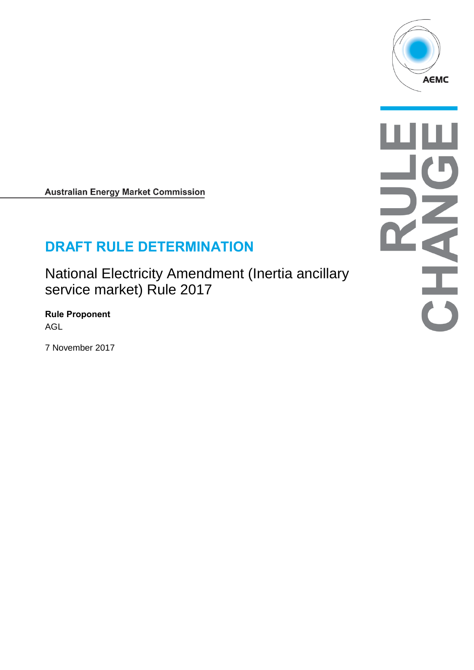

**Australian Energy Market Commission** 

# **DRAFT RULE DETERMINATION**

National Electricity Amendment (Inertia ancillary service market) Rule 2017

**Rule Proponent** AGL

7 November 2017

 $\frac{1}{\sqrt{2}}$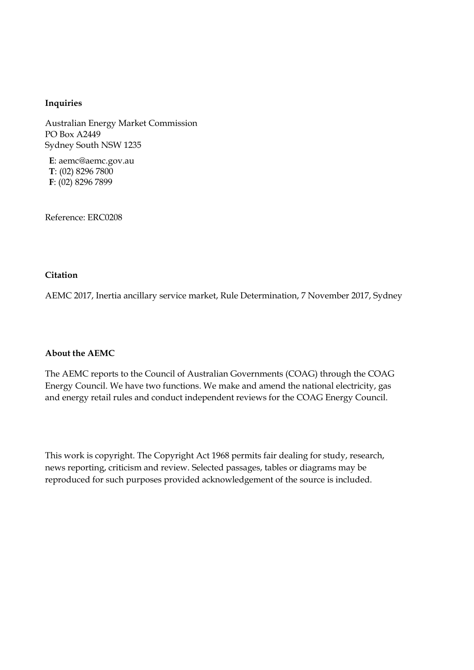#### **Inquiries**

Australian Energy Market Commission PO Box A2449 Sydney South NSW 1235

**E**: aemc@aemc.gov.au **T**: (02) 8296 7800 **F**: (02) 8296 7899

Reference: ERC0208

#### **Citation**

AEMC 2017, Inertia ancillary service market, Rule Determination, 7 November 2017, Sydney

#### **About the AEMC**

The AEMC reports to the Council of Australian Governments (COAG) through the COAG Energy Council. We have two functions. We make and amend the national electricity, gas and energy retail rules and conduct independent reviews for the COAG Energy Council.

This work is copyright. The Copyright Act 1968 permits fair dealing for study, research, news reporting, criticism and review. Selected passages, tables or diagrams may be reproduced for such purposes provided acknowledgement of the source is included.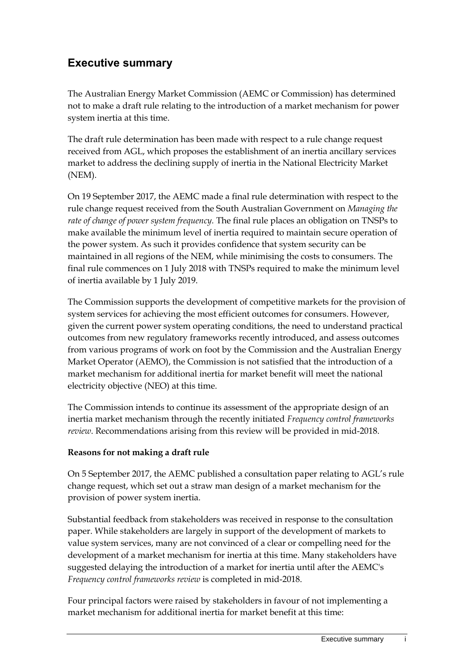# **Executive summary**

The Australian Energy Market Commission (AEMC or Commission) has determined not to make a draft rule relating to the introduction of a market mechanism for power system inertia at this time.

The draft rule determination has been made with respect to a rule change request received from AGL, which proposes the establishment of an inertia ancillary services market to address the declining supply of inertia in the National Electricity Market (NEM).

On 19 September 2017, the AEMC made a final rule determination with respect to the rule change request received from the South Australian Government on *Managing the rate of change of power system frequency.* The final rule places an obligation on TNSPs to make available the minimum level of inertia required to maintain secure operation of the power system. As such it provides confidence that system security can be maintained in all regions of the NEM, while minimising the costs to consumers. The final rule commences on 1 July 2018 with TNSPs required to make the minimum level of inertia available by 1 July 2019.

The Commission supports the development of competitive markets for the provision of system services for achieving the most efficient outcomes for consumers. However, given the current power system operating conditions, the need to understand practical outcomes from new regulatory frameworks recently introduced, and assess outcomes from various programs of work on foot by the Commission and the Australian Energy Market Operator (AEMO), the Commission is not satisfied that the introduction of a market mechanism for additional inertia for market benefit will meet the national electricity objective (NEO) at this time.

The Commission intends to continue its assessment of the appropriate design of an inertia market mechanism through the recently initiated *Frequency control frameworks review*. Recommendations arising from this review will be provided in mid-2018.

#### **Reasons for not making a draft rule**

On 5 September 2017, the AEMC published a consultation paper relating to AGL's rule change request, which set out a straw man design of a market mechanism for the provision of power system inertia.

Substantial feedback from stakeholders was received in response to the consultation paper. While stakeholders are largely in support of the development of markets to value system services, many are not convinced of a clear or compelling need for the development of a market mechanism for inertia at this time. Many stakeholders have suggested delaying the introduction of a market for inertia until after the AEMC's *Frequency control frameworks review* is completed in mid-2018.

Four principal factors were raised by stakeholders in favour of not implementing a market mechanism for additional inertia for market benefit at this time: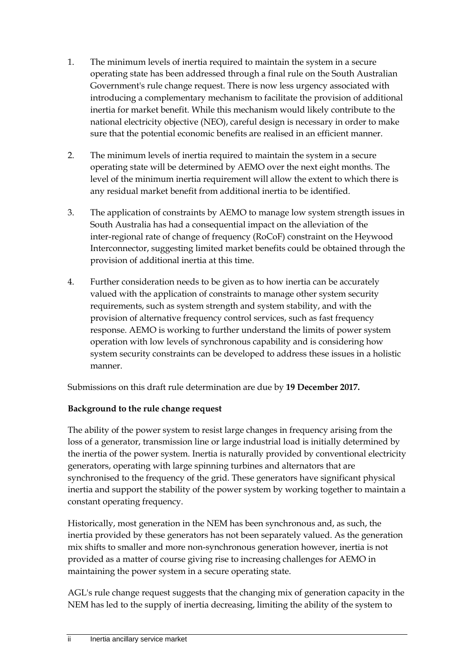- 1. The minimum levels of inertia required to maintain the system in a secure operating state has been addressed through a final rule on the South Australian Government's rule change request. There is now less urgency associated with introducing a complementary mechanism to facilitate the provision of additional inertia for market benefit. While this mechanism would likely contribute to the national electricity objective (NEO), careful design is necessary in order to make sure that the potential economic benefits are realised in an efficient manner.
- 2. The minimum levels of inertia required to maintain the system in a secure operating state will be determined by AEMO over the next eight months. The level of the minimum inertia requirement will allow the extent to which there is any residual market benefit from additional inertia to be identified.
- 3. The application of constraints by AEMO to manage low system strength issues in South Australia has had a consequential impact on the alleviation of the inter-regional rate of change of frequency (RoCoF) constraint on the Heywood Interconnector, suggesting limited market benefits could be obtained through the provision of additional inertia at this time.
- 4. Further consideration needs to be given as to how inertia can be accurately valued with the application of constraints to manage other system security requirements, such as system strength and system stability, and with the provision of alternative frequency control services, such as fast frequency response. AEMO is working to further understand the limits of power system operation with low levels of synchronous capability and is considering how system security constraints can be developed to address these issues in a holistic manner.

Submissions on this draft rule determination are due by **19 December 2017.**

#### **Background to the rule change request**

The ability of the power system to resist large changes in frequency arising from the loss of a generator, transmission line or large industrial load is initially determined by the inertia of the power system. Inertia is naturally provided by conventional electricity generators, operating with large spinning turbines and alternators that are synchronised to the frequency of the grid. These generators have significant physical inertia and support the stability of the power system by working together to maintain a constant operating frequency.

Historically, most generation in the NEM has been synchronous and, as such, the inertia provided by these generators has not been separately valued. As the generation mix shifts to smaller and more non-synchronous generation however, inertia is not provided as a matter of course giving rise to increasing challenges for AEMO in maintaining the power system in a secure operating state.

AGL's rule change request suggests that the changing mix of generation capacity in the NEM has led to the supply of inertia decreasing, limiting the ability of the system to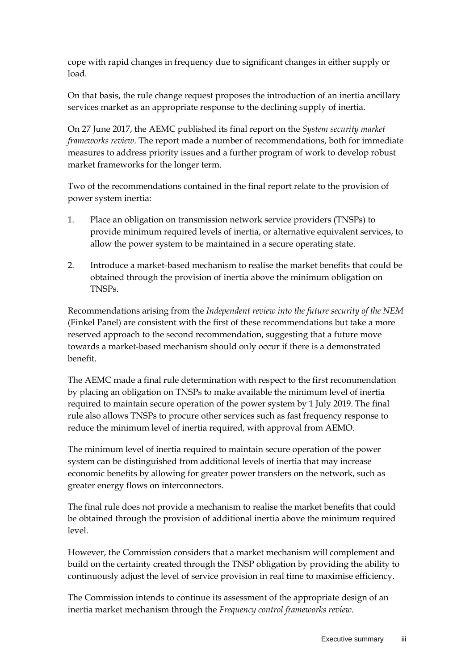cope with rapid changes in frequency due to significant changes in either supply or load.

On that basis, the rule change request proposes the introduction of an inertia ancillary services market as an appropriate response to the declining supply of inertia.

On 27 June 2017, the AEMC published its final report on the *System security market frameworks review*. The report made a number of recommendations, both for immediate measures to address priority issues and a further program of work to develop robust market frameworks for the longer term.

Two of the recommendations contained in the final report relate to the provision of power system inertia:

- 1. Place an obligation on transmission network service providers (TNSPs) to provide minimum required levels of inertia, or alternative equivalent services, to allow the power system to be maintained in a secure operating state.
- 2. Introduce a market-based mechanism to realise the market benefits that could be obtained through the provision of inertia above the minimum obligation on TNSPs.

Recommendations arising from the *Independent review into the future security of the NEM*  (Finkel Panel) are consistent with the first of these recommendations but take a more reserved approach to the second recommendation, suggesting that a future move towards a market-based mechanism should only occur if there is a demonstrated benefit.

The AEMC made a final rule determination with respect to the first recommendation by placing an obligation on TNSPs to make available the minimum level of inertia required to maintain secure operation of the power system by 1 July 2019. The final rule also allows TNSPs to procure other services such as fast frequency response to reduce the minimum level of inertia required, with approval from AEMO.

The minimum level of inertia required to maintain secure operation of the power system can be distinguished from additional levels of inertia that may increase economic benefits by allowing for greater power transfers on the network, such as greater energy flows on interconnectors.

The final rule does not provide a mechanism to realise the market benefits that could be obtained through the provision of additional inertia above the minimum required level.

However, the Commission considers that a market mechanism will complement and build on the certainty created through the TNSP obligation by providing the ability to continuously adjust the level of service provision in real time to maximise efficiency.

The Commission intends to continue its assessment of the appropriate design of an inertia market mechanism through the *Frequency control frameworks review.*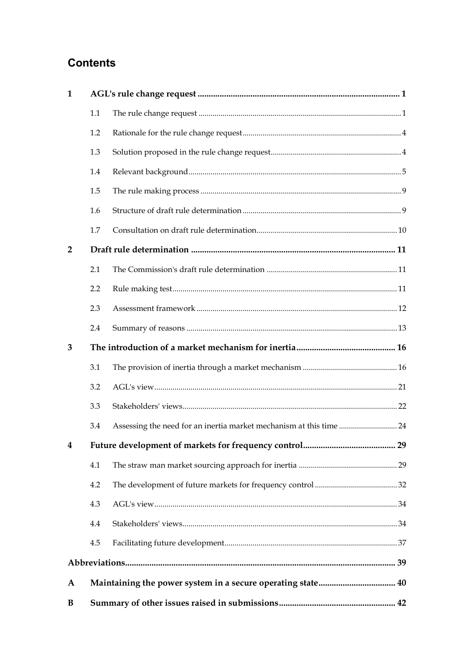# **Contents**

| $\mathbf{1}$   |         |                                                                    |  |
|----------------|---------|--------------------------------------------------------------------|--|
|                | 1.1     |                                                                    |  |
|                | 1.2     |                                                                    |  |
|                | 1.3     |                                                                    |  |
|                | 1.4     |                                                                    |  |
|                | $1.5\,$ |                                                                    |  |
|                | 1.6     |                                                                    |  |
|                | 1.7     |                                                                    |  |
| $\overline{2}$ |         |                                                                    |  |
|                | 2.1     |                                                                    |  |
|                | 2.2     |                                                                    |  |
|                | 2.3     |                                                                    |  |
|                | 2.4     |                                                                    |  |
| 3              |         |                                                                    |  |
|                | 3.1     |                                                                    |  |
|                | 3.2     |                                                                    |  |
|                | 3.3     |                                                                    |  |
|                | 3.4     | Assessing the need for an inertia market mechanism at this time 24 |  |
| 4              |         | Future development of markets for frequency control<br>29          |  |
|                | 4.1     |                                                                    |  |
|                | 4.2     |                                                                    |  |
|                | 4.3     |                                                                    |  |
|                | 4.4     |                                                                    |  |
|                | 4.5     |                                                                    |  |
|                |         |                                                                    |  |
| A              |         |                                                                    |  |
| B              |         |                                                                    |  |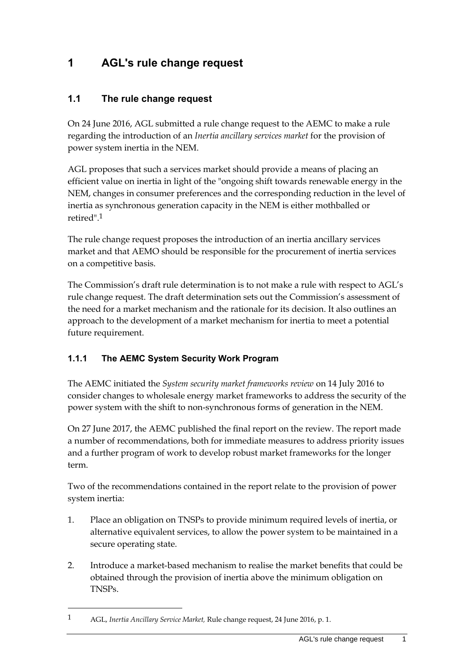# <span id="page-8-0"></span>**1 AGL's rule change request**

### <span id="page-8-1"></span>**1.1 The rule change request**

On 24 June 2016, AGL submitted a rule change request to the AEMC to make a rule regarding the introduction of an *Inertia ancillary services market* for the provision of power system inertia in the NEM.

AGL proposes that such a services market should provide a means of placing an efficient value on inertia in light of the "ongoing shift towards renewable energy in the NEM, changes in consumer preferences and the corresponding reduction in the level of inertia as synchronous generation capacity in the NEM is either mothballed or retired<sup>"</sup> 1

The rule change request proposes the introduction of an inertia ancillary services market and that AEMO should be responsible for the procurement of inertia services on a competitive basis.

The Commission's draft rule determination is to not make a rule with respect to AGL's rule change request. The draft determination sets out the Commission's assessment of the need for a market mechanism and the rationale for its decision. It also outlines an approach to the development of a market mechanism for inertia to meet a potential future requirement.

## **1.1.1 The AEMC System Security Work Program**

The AEMC initiated the *System security market frameworks review* on 14 July 2016 to consider changes to wholesale energy market frameworks to address the security of the power system with the shift to non-synchronous forms of generation in the NEM.

On 27 June 2017, the AEMC published the final report on the review. The report made a number of recommendations, both for immediate measures to address priority issues and a further program of work to develop robust market frameworks for the longer term.

Two of the recommendations contained in the report relate to the provision of power system inertia:

- 1. Place an obligation on TNSPs to provide minimum required levels of inertia, or alternative equivalent services, to allow the power system to be maintained in a secure operating state.
- 2. Introduce a market-based mechanism to realise the market benefits that could be obtained through the provision of inertia above the minimum obligation on TNSPs.

<sup>1</sup> AGL, *Inertia Ancillary Service Market,* Rule change request, 24 June 2016, p. 1.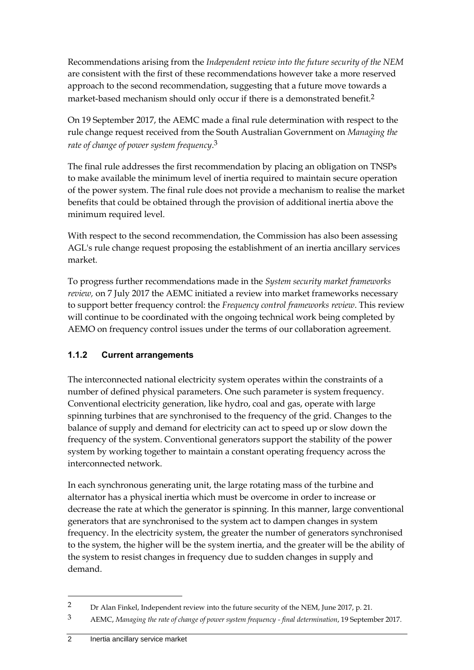Recommendations arising from the *Independent review into the future security of the NEM* are consistent with the first of these recommendations however take a more reserved approach to the second recommendation, suggesting that a future move towards a market-based mechanism should only occur if there is a demonstrated benefit.2

On 19 September 2017, the AEMC made a final rule determination with respect to the rule change request received from the South Australian Government on *Managing the rate of change of power system frequency*. 3

The final rule addresses the first recommendation by placing an obligation on TNSPs to make available the minimum level of inertia required to maintain secure operation of the power system. The final rule does not provide a mechanism to realise the market benefits that could be obtained through the provision of additional inertia above the minimum required level.

With respect to the second recommendation, the Commission has also been assessing AGL's rule change request proposing the establishment of an inertia ancillary services market.

To progress further recommendations made in the *System security market frameworks review,* on 7 July 2017 the AEMC initiated a review into market frameworks necessary to support better frequency control: the *Frequency control frameworks review*. This review will continue to be coordinated with the ongoing technical work being completed by AEMO on frequency control issues under the terms of our collaboration agreement.

## **1.1.2 Current arrangements**

The interconnected national electricity system operates within the constraints of a number of defined physical parameters. One such parameter is system frequency. Conventional electricity generation, like hydro, coal and gas, operate with large spinning turbines that are synchronised to the frequency of the grid. Changes to the balance of supply and demand for electricity can act to speed up or slow down the frequency of the system. Conventional generators support the stability of the power system by working together to maintain a constant operating frequency across the interconnected network.

In each synchronous generating unit, the large rotating mass of the turbine and alternator has a physical inertia which must be overcome in order to increase or decrease the rate at which the generator is spinning. In this manner, large conventional generators that are synchronised to the system act to dampen changes in system frequency. In the electricity system, the greater the number of generators synchronised to the system, the higher will be the system inertia, and the greater will be the ability of the system to resist changes in frequency due to sudden changes in supply and demand.

<sup>2</sup> Dr Alan Finkel, Independent review into the future security of the NEM, June 2017, p. 21.

<sup>3</sup> AEMC, *Managing the rate of change of power system frequency - final determination*, 19 September 2017.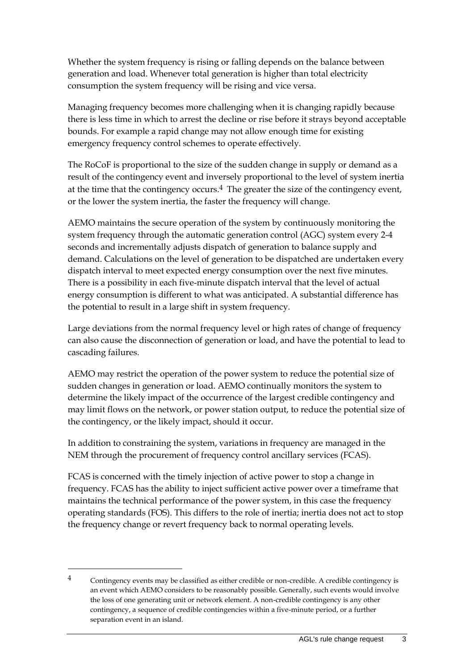Whether the system frequency is rising or falling depends on the balance between generation and load. Whenever total generation is higher than total electricity consumption the system frequency will be rising and vice versa.

Managing frequency becomes more challenging when it is changing rapidly because there is less time in which to arrest the decline or rise before it strays beyond acceptable bounds. For example a rapid change may not allow enough time for existing emergency frequency control schemes to operate effectively.

The RoCoF is proportional to the size of the sudden change in supply or demand as a result of the contingency event and inversely proportional to the level of system inertia at the time that the contingency occurs.<sup>4</sup> The greater the size of the contingency event, or the lower the system inertia, the faster the frequency will change.

AEMO maintains the secure operation of the system by continuously monitoring the system frequency through the automatic generation control (AGC) system every 2-4 seconds and incrementally adjusts dispatch of generation to balance supply and demand. Calculations on the level of generation to be dispatched are undertaken every dispatch interval to meet expected energy consumption over the next five minutes. There is a possibility in each five-minute dispatch interval that the level of actual energy consumption is different to what was anticipated. A substantial difference has the potential to result in a large shift in system frequency.

Large deviations from the normal frequency level or high rates of change of frequency can also cause the disconnection of generation or load, and have the potential to lead to cascading failures.

AEMO may restrict the operation of the power system to reduce the potential size of sudden changes in generation or load. AEMO continually monitors the system to determine the likely impact of the occurrence of the largest credible contingency and may limit flows on the network, or power station output, to reduce the potential size of the contingency, or the likely impact, should it occur.

In addition to constraining the system, variations in frequency are managed in the NEM through the procurement of frequency control ancillary services (FCAS).

FCAS is concerned with the timely injection of active power to stop a change in frequency. FCAS has the ability to inject sufficient active power over a timeframe that maintains the technical performance of the power system, in this case the frequency operating standards (FOS). This differs to the role of inertia; inertia does not act to stop the frequency change or revert frequency back to normal operating levels.

<sup>4</sup> Contingency events may be classified as either credible or non-credible. A credible contingency is an event which AEMO considers to be reasonably possible. Generally, such events would involve the loss of one generating unit or network element. A non-credible contingency is any other contingency, a sequence of credible contingencies within a five-minute period, or a further separation event in an island.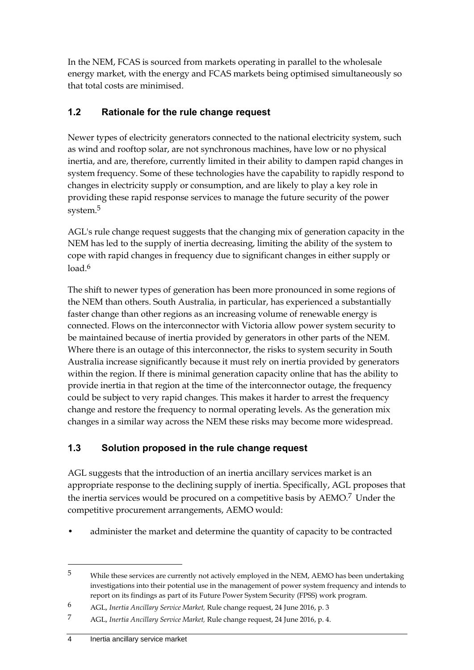In the NEM, FCAS is sourced from markets operating in parallel to the wholesale energy market, with the energy and FCAS markets being optimised simultaneously so that total costs are minimised.

## <span id="page-11-0"></span>**1.2 Rationale for the rule change request**

Newer types of electricity generators connected to the national electricity system, such as wind and rooftop solar, are not synchronous machines, have low or no physical inertia, and are, therefore, currently limited in their ability to dampen rapid changes in system frequency. Some of these technologies have the capability to rapidly respond to changes in electricity supply or consumption, and are likely to play a key role in providing these rapid response services to manage the future security of the power system.5

AGL's rule change request suggests that the changing mix of generation capacity in the NEM has led to the supply of inertia decreasing, limiting the ability of the system to cope with rapid changes in frequency due to significant changes in either supply or load.<sup>6</sup>

The shift to newer types of generation has been more pronounced in some regions of the NEM than others. South Australia, in particular, has experienced a substantially faster change than other regions as an increasing volume of renewable energy is connected. Flows on the interconnector with Victoria allow power system security to be maintained because of inertia provided by generators in other parts of the NEM. Where there is an outage of this interconnector, the risks to system security in South Australia increase significantly because it must rely on inertia provided by generators within the region. If there is minimal generation capacity online that has the ability to provide inertia in that region at the time of the interconnector outage, the frequency could be subject to very rapid changes. This makes it harder to arrest the frequency change and restore the frequency to normal operating levels. As the generation mix changes in a similar way across the NEM these risks may become more widespread.

# <span id="page-11-1"></span>**1.3 Solution proposed in the rule change request**

AGL suggests that the introduction of an inertia ancillary services market is an appropriate response to the declining supply of inertia. Specifically, AGL proposes that the inertia services would be procured on a competitive basis by AEMO.<sup>7</sup> Under the competitive procurement arrangements, AEMO would:

• administer the market and determine the quantity of capacity to be contracted

<sup>5</sup> While these services are currently not actively employed in the NEM, AEMO has been undertaking investigations into their potential use in the management of power system frequency and intends to report on its findings as part of its Future Power System Security (FPSS) work program.

<sup>6</sup> AGL, *Inertia Ancillary Service Market,* Rule change request, 24 June 2016, p. 3

<sup>7</sup> AGL, *Inertia Ancillary Service Market,* Rule change request, 24 June 2016, p. 4.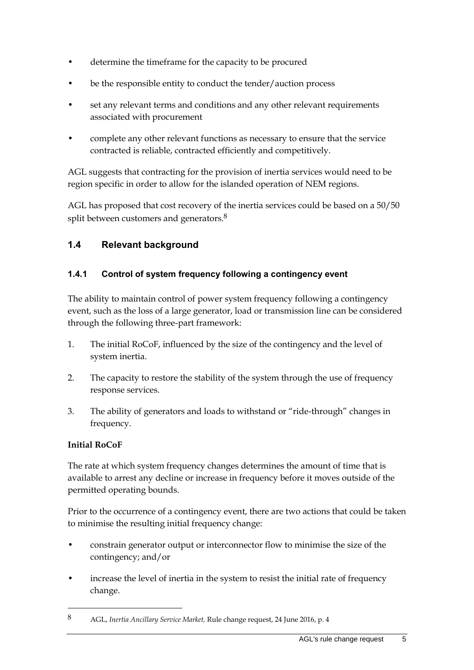- determine the timeframe for the capacity to be procured
- be the responsible entity to conduct the tender/auction process
- set any relevant terms and conditions and any other relevant requirements associated with procurement
- complete any other relevant functions as necessary to ensure that the service contracted is reliable, contracted efficiently and competitively.

AGL suggests that contracting for the provision of inertia services would need to be region specific in order to allow for the islanded operation of NEM regions.

AGL has proposed that cost recovery of the inertia services could be based on a 50/50 split between customers and generators.<sup>8</sup>

# <span id="page-12-0"></span>**1.4 Relevant background**

### **1.4.1 Control of system frequency following a contingency event**

The ability to maintain control of power system frequency following a contingency event, such as the loss of a large generator, load or transmission line can be considered through the following three-part framework:

- 1. The initial RoCoF, influenced by the size of the contingency and the level of system inertia.
- 2. The capacity to restore the stability of the system through the use of frequency response services.
- 3. The ability of generators and loads to withstand or "ride-through" changes in frequency.

#### **Initial RoCoF**

1

The rate at which system frequency changes determines the amount of time that is available to arrest any decline or increase in frequency before it moves outside of the permitted operating bounds.

Prior to the occurrence of a contingency event, there are two actions that could be taken to minimise the resulting initial frequency change:

- constrain generator output or interconnector flow to minimise the size of the contingency; and/or
- increase the level of inertia in the system to resist the initial rate of frequency change.

<sup>8</sup> AGL, *Inertia Ancillary Service Market,* Rule change request, 24 June 2016, p. 4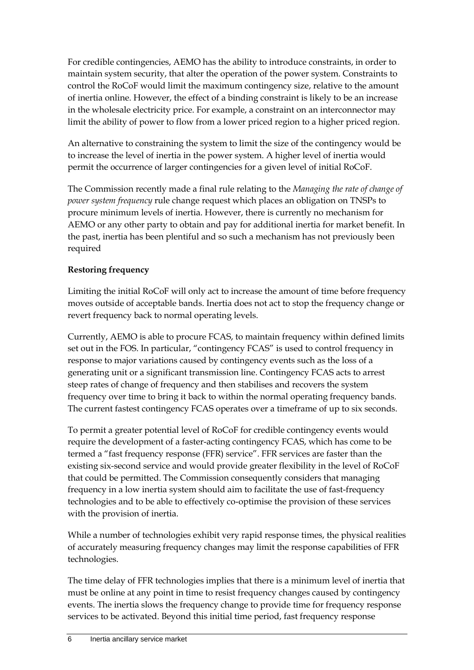For credible contingencies, AEMO has the ability to introduce constraints, in order to maintain system security, that alter the operation of the power system. Constraints to control the RoCoF would limit the maximum contingency size, relative to the amount of inertia online. However, the effect of a binding constraint is likely to be an increase in the wholesale electricity price. For example, a constraint on an interconnector may limit the ability of power to flow from a lower priced region to a higher priced region.

An alternative to constraining the system to limit the size of the contingency would be to increase the level of inertia in the power system. A higher level of inertia would permit the occurrence of larger contingencies for a given level of initial RoCoF.

The Commission recently made a final rule relating to the *Managing the rate of change of power system frequency* rule change request which places an obligation on TNSPs to procure minimum levels of inertia. However, there is currently no mechanism for AEMO or any other party to obtain and pay for additional inertia for market benefit. In the past, inertia has been plentiful and so such a mechanism has not previously been required

#### **Restoring frequency**

Limiting the initial RoCoF will only act to increase the amount of time before frequency moves outside of acceptable bands. Inertia does not act to stop the frequency change or revert frequency back to normal operating levels.

Currently, AEMO is able to procure FCAS, to maintain frequency within defined limits set out in the FOS. In particular, "contingency FCAS" is used to control frequency in response to major variations caused by contingency events such as the loss of a generating unit or a significant transmission line. Contingency FCAS acts to arrest steep rates of change of frequency and then stabilises and recovers the system frequency over time to bring it back to within the normal operating frequency bands. The current fastest contingency FCAS operates over a timeframe of up to six seconds.

To permit a greater potential level of RoCoF for credible contingency events would require the development of a faster-acting contingency FCAS, which has come to be termed a "fast frequency response (FFR) service". FFR services are faster than the existing six-second service and would provide greater flexibility in the level of RoCoF that could be permitted. The Commission consequently considers that managing frequency in a low inertia system should aim to facilitate the use of fast-frequency technologies and to be able to effectively co-optimise the provision of these services with the provision of inertia.

While a number of technologies exhibit very rapid response times, the physical realities of accurately measuring frequency changes may limit the response capabilities of FFR technologies.

The time delay of FFR technologies implies that there is a minimum level of inertia that must be online at any point in time to resist frequency changes caused by contingency events. The inertia slows the frequency change to provide time for frequency response services to be activated. Beyond this initial time period, fast frequency response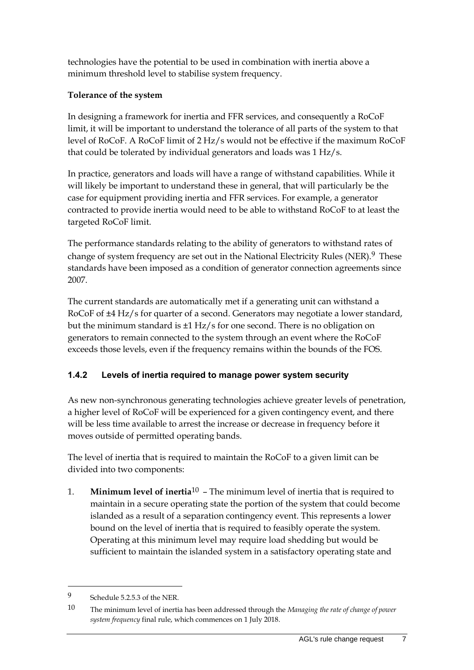technologies have the potential to be used in combination with inertia above a minimum threshold level to stabilise system frequency.

#### **Tolerance of the system**

In designing a framework for inertia and FFR services, and consequently a RoCoF limit, it will be important to understand the tolerance of all parts of the system to that level of RoCoF. A RoCoF limit of 2 Hz/s would not be effective if the maximum RoCoF that could be tolerated by individual generators and loads was 1 Hz/s.

In practice, generators and loads will have a range of withstand capabilities. While it will likely be important to understand these in general, that will particularly be the case for equipment providing inertia and FFR services. For example, a generator contracted to provide inertia would need to be able to withstand RoCoF to at least the targeted RoCoF limit.

The performance standards relating to the ability of generators to withstand rates of change of system frequency are set out in the National Electricity Rules (NER).<sup>9</sup> These standards have been imposed as a condition of generator connection agreements since 2007.

The current standards are automatically met if a generating unit can withstand a RoCoF of ±4 Hz/s for quarter of a second. Generators may negotiate a lower standard, but the minimum standard is ±1 Hz/s for one second. There is no obligation on generators to remain connected to the system through an event where the RoCoF exceeds those levels, even if the frequency remains within the bounds of the FOS.

## **1.4.2 Levels of inertia required to manage power system security**

As new non-synchronous generating technologies achieve greater levels of penetration, a higher level of RoCoF will be experienced for a given contingency event, and there will be less time available to arrest the increase or decrease in frequency before it moves outside of permitted operating bands.

The level of inertia that is required to maintain the RoCoF to a given limit can be divided into two components:

1. **Minimum level of inertia**10 – The minimum level of inertia that is required to maintain in a secure operating state the portion of the system that could become islanded as a result of a separation contingency event. This represents a lower bound on the level of inertia that is required to feasibly operate the system. Operating at this minimum level may require load shedding but would be sufficient to maintain the islanded system in a satisfactory operating state and

<sup>9</sup> Schedule 5.2.5.3 of the NER.

<sup>10</sup> The minimum level of inertia has been addressed through the *Managing the rate of change of power system frequency* final rule, which commences on 1 July 2018.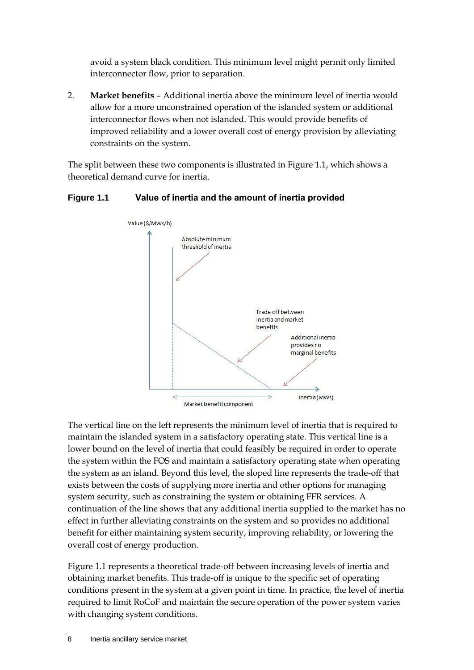avoid a system black condition. This minimum level might permit only limited interconnector flow, prior to separation.

2. **Market benefits** – Additional inertia above the minimum level of inertia would allow for a more unconstrained operation of the islanded system or additional interconnector flows when not islanded. This would provide benefits of improved reliability and a lower overall cost of energy provision by alleviating constraints on the system.

The split between these two components is illustrated in Figure 1.1, which shows a theoretical demand curve for inertia.

#### **Figure 1.1 Value of inertia and the amount of inertia provided**



The vertical line on the left represents the minimum level of inertia that is required to maintain the islanded system in a satisfactory operating state. This vertical line is a lower bound on the level of inertia that could feasibly be required in order to operate the system within the FOS and maintain a satisfactory operating state when operating the system as an island. Beyond this level, the sloped line represents the trade-off that exists between the costs of supplying more inertia and other options for managing system security, such as constraining the system or obtaining FFR services. A continuation of the line shows that any additional inertia supplied to the market has no effect in further alleviating constraints on the system and so provides no additional benefit for either maintaining system security, improving reliability, or lowering the overall cost of energy production.

Figure 1.1 represents a theoretical trade-off between increasing levels of inertia and obtaining market benefits. This trade-off is unique to the specific set of operating conditions present in the system at a given point in time. In practice, the level of inertia required to limit RoCoF and maintain the secure operation of the power system varies with changing system conditions.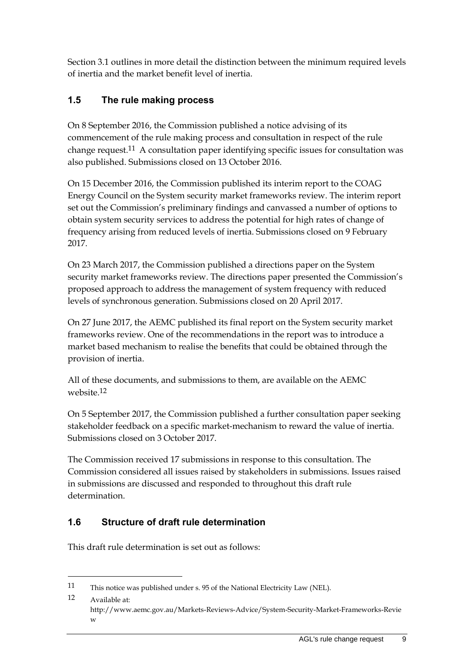Section [3.1](#page-23-1) outlines in more detail the distinction between the minimum required levels of inertia and the market benefit level of inertia.

# <span id="page-16-0"></span>**1.5 The rule making process**

On 8 September 2016, the Commission published a notice advising of its commencement of the rule making process and consultation in respect of the rule change request.11 A consultation paper identifying specific issues for consultation was also published. Submissions closed on 13 October 2016.

On 15 December 2016, the Commission published its interim report to the COAG Energy Council on the System security market frameworks review. The interim report set out the Commission's preliminary findings and canvassed a number of options to obtain system security services to address the potential for high rates of change of frequency arising from reduced levels of inertia. Submissions closed on 9 February 2017.

On 23 March 2017, the Commission published a directions paper on the System security market frameworks review. The directions paper presented the Commission's proposed approach to address the management of system frequency with reduced levels of synchronous generation. Submissions closed on 20 April 2017.

On 27 June 2017, the AEMC published its final report on the System security market frameworks review. One of the recommendations in the report was to introduce a market based mechanism to realise the benefits that could be obtained through the provision of inertia.

All of these documents, and submissions to them, are available on the AEMC website.12

On 5 September 2017, the Commission published a further consultation paper seeking stakeholder feedback on a specific market-mechanism to reward the value of inertia. Submissions closed on 3 October 2017.

The Commission received 17 submissions in response to this consultation. The Commission considered all issues raised by stakeholders in submissions. Issues raised in submissions are discussed and responded to throughout this draft rule determination.

# <span id="page-16-1"></span>**1.6 Structure of draft rule determination**

This draft rule determination is set out as follows:

<sup>11</sup> This notice was published under s. 95 of the National Electricity Law (NEL).

<sup>12</sup> Available at: http://www.aemc.gov.au/Markets-Reviews-Advice/System-Security-Market-Frameworks-Revie w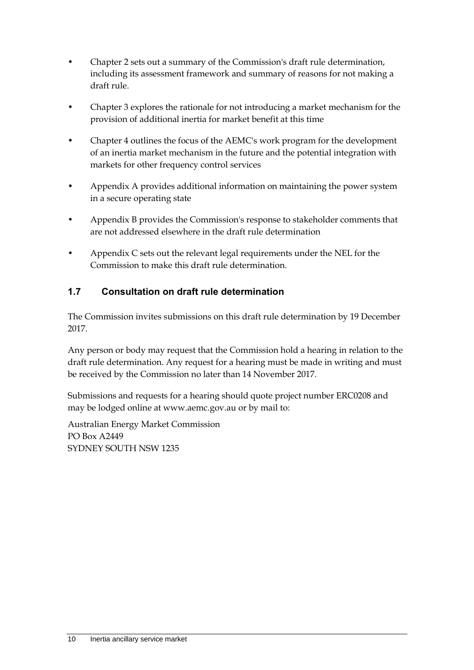- Chapter 2 sets out a summary of the Commission's draft rule determination, including its assessment framework and summary of reasons for not making a draft rule.
- Chapter 3 explores the rationale for not introducing a market mechanism for the provision of additional inertia for market benefit at this time
- Chapter 4 outlines the focus of the AEMC's work program for the development of an inertia market mechanism in the future and the potential integration with markets for other frequency control services
- Appendix A provides additional information on maintaining the power system in a secure operating state
- Appendix B provides the Commission's response to stakeholder comments that are not addressed elsewhere in the draft rule determination
- Appendix C sets out the relevant legal requirements under the NEL for the Commission to make this draft rule determination.

# <span id="page-17-0"></span>**1.7 Consultation on draft rule determination**

The Commission invites submissions on this draft rule determination by 19 December 2017.

Any person or body may request that the Commission hold a hearing in relation to the draft rule determination. Any request for a hearing must be made in writing and must be received by the Commission no later than 14 November 2017.

Submissions and requests for a hearing should quote project number ERC0208 and may be lodged online at www.aemc.gov.au or by mail to:

Australian Energy Market Commission PO Box A2449 SYDNEY SOUTH NSW 1235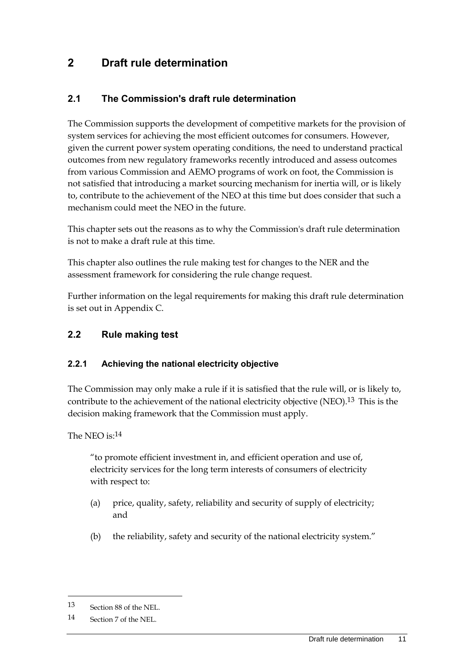# <span id="page-18-0"></span>**2 Draft rule determination**

## <span id="page-18-1"></span>**2.1 The Commission's draft rule determination**

The Commission supports the development of competitive markets for the provision of system services for achieving the most efficient outcomes for consumers. However, given the current power system operating conditions, the need to understand practical outcomes from new regulatory frameworks recently introduced and assess outcomes from various Commission and AEMO programs of work on foot, the Commission is not satisfied that introducing a market sourcing mechanism for inertia will, or is likely to, contribute to the achievement of the NEO at this time but does consider that such a mechanism could meet the NEO in the future.

This chapter sets out the reasons as to why the Commission's draft rule determination is not to make a draft rule at this time.

This chapter also outlines the rule making test for changes to the NER and the assessment framework for considering the rule change request.

Further information on the legal requirements for making this draft rule determination is set out in Appendix C.

## <span id="page-18-2"></span>**2.2 Rule making test**

#### **2.2.1 Achieving the national electricity objective**

The Commission may only make a rule if it is satisfied that the rule will, or is likely to, contribute to the achievement of the national electricity objective (NEO).<sup>13</sup> This is the decision making framework that the Commission must apply.

The NEO is:14

"to promote efficient investment in, and efficient operation and use of, electricity services for the long term interests of consumers of electricity with respect to:

- (a) price, quality, safety, reliability and security of supply of electricity; and
- (b) the reliability, safety and security of the national electricity system."

<sup>13</sup> Section 88 of the NEL.

<sup>14</sup> Section 7 of the NEL.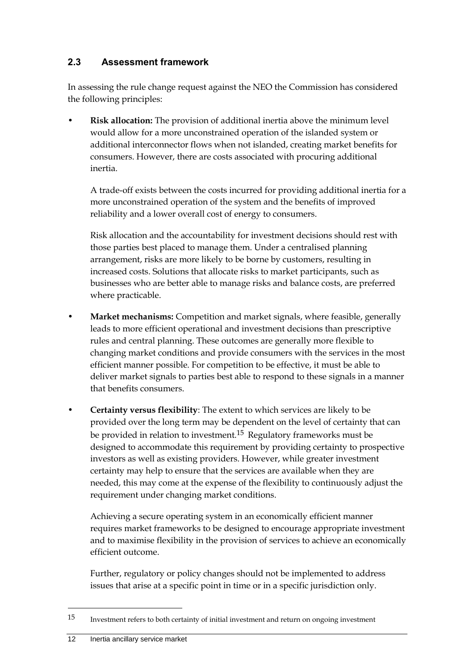## <span id="page-19-0"></span>**2.3 Assessment framework**

In assessing the rule change request against the NEO the Commission has considered the following principles:

• **Risk allocation:** The provision of additional inertia above the minimum level would allow for a more unconstrained operation of the islanded system or additional interconnector flows when not islanded, creating market benefits for consumers. However, there are costs associated with procuring additional inertia.

A trade-off exists between the costs incurred for providing additional inertia for a more unconstrained operation of the system and the benefits of improved reliability and a lower overall cost of energy to consumers.

Risk allocation and the accountability for investment decisions should rest with those parties best placed to manage them. Under a centralised planning arrangement, risks are more likely to be borne by customers, resulting in increased costs. Solutions that allocate risks to market participants, such as businesses who are better able to manage risks and balance costs, are preferred where practicable.

- **Market mechanisms:** Competition and market signals, where feasible, generally leads to more efficient operational and investment decisions than prescriptive rules and central planning. These outcomes are generally more flexible to changing market conditions and provide consumers with the services in the most efficient manner possible. For competition to be effective, it must be able to deliver market signals to parties best able to respond to these signals in a manner that benefits consumers.
- **Certainty versus flexibility**: The extent to which services are likely to be provided over the long term may be dependent on the level of certainty that can be provided in relation to investment.15 Regulatory frameworks must be designed to accommodate this requirement by providing certainty to prospective investors as well as existing providers. However, while greater investment certainty may help to ensure that the services are available when they are needed, this may come at the expense of the flexibility to continuously adjust the requirement under changing market conditions.

Achieving a secure operating system in an economically efficient manner requires market frameworks to be designed to encourage appropriate investment and to maximise flexibility in the provision of services to achieve an economically efficient outcome.

Further, regulatory or policy changes should not be implemented to address issues that arise at a specific point in time or in a specific jurisdiction only.

<sup>15</sup> Investment refers to both certainty of initial investment and return on ongoing investment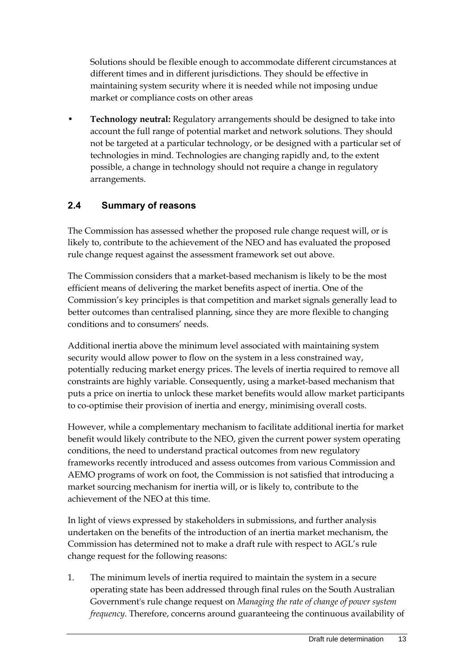Solutions should be flexible enough to accommodate different circumstances at different times and in different jurisdictions. They should be effective in maintaining system security where it is needed while not imposing undue market or compliance costs on other areas

• **Technology neutral:** Regulatory arrangements should be designed to take into account the full range of potential market and network solutions. They should not be targeted at a particular technology, or be designed with a particular set of technologies in mind. Technologies are changing rapidly and, to the extent possible, a change in technology should not require a change in regulatory arrangements.

## <span id="page-20-0"></span>**2.4 Summary of reasons**

The Commission has assessed whether the proposed rule change request will, or is likely to, contribute to the achievement of the NEO and has evaluated the proposed rule change request against the assessment framework set out above.

The Commission considers that a market-based mechanism is likely to be the most efficient means of delivering the market benefits aspect of inertia. One of the Commission's key principles is that competition and market signals generally lead to better outcomes than centralised planning, since they are more flexible to changing conditions and to consumers' needs.

Additional inertia above the minimum level associated with maintaining system security would allow power to flow on the system in a less constrained way, potentially reducing market energy prices. The levels of inertia required to remove all constraints are highly variable. Consequently, using a market-based mechanism that puts a price on inertia to unlock these market benefits would allow market participants to co-optimise their provision of inertia and energy, minimising overall costs.

However, while a complementary mechanism to facilitate additional inertia for market benefit would likely contribute to the NEO, given the current power system operating conditions, the need to understand practical outcomes from new regulatory frameworks recently introduced and assess outcomes from various Commission and AEMO programs of work on foot, the Commission is not satisfied that introducing a market sourcing mechanism for inertia will, or is likely to, contribute to the achievement of the NEO at this time.

In light of views expressed by stakeholders in submissions, and further analysis undertaken on the benefits of the introduction of an inertia market mechanism, the Commission has determined not to make a draft rule with respect to AGL's rule change request for the following reasons:

1. The minimum levels of inertia required to maintain the system in a secure operating state has been addressed through final rules on the South Australian Government's rule change request on *Managing the rate of change of power system frequency*. Therefore, concerns around guaranteeing the continuous availability of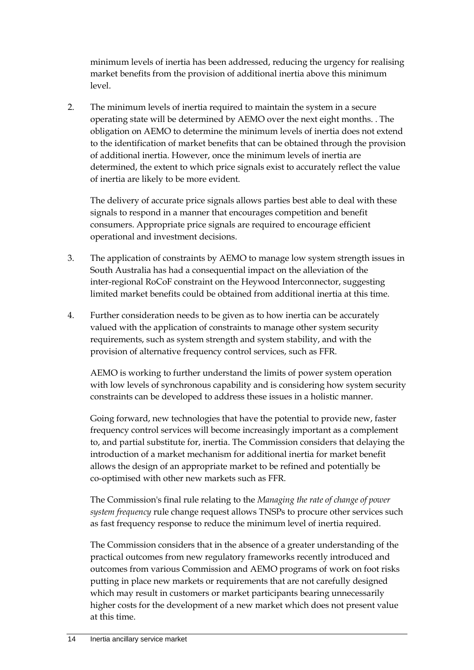minimum levels of inertia has been addressed, reducing the urgency for realising market benefits from the provision of additional inertia above this minimum level.

2. The minimum levels of inertia required to maintain the system in a secure operating state will be determined by AEMO over the next eight months. . The obligation on AEMO to determine the minimum levels of inertia does not extend to the identification of market benefits that can be obtained through the provision of additional inertia. However, once the minimum levels of inertia are determined, the extent to which price signals exist to accurately reflect the value of inertia are likely to be more evident.

The delivery of accurate price signals allows parties best able to deal with these signals to respond in a manner that encourages competition and benefit consumers. Appropriate price signals are required to encourage efficient operational and investment decisions.

- 3. The application of constraints by AEMO to manage low system strength issues in South Australia has had a consequential impact on the alleviation of the inter-regional RoCoF constraint on the Heywood Interconnector, suggesting limited market benefits could be obtained from additional inertia at this time.
- 4. Further consideration needs to be given as to how inertia can be accurately valued with the application of constraints to manage other system security requirements, such as system strength and system stability, and with the provision of alternative frequency control services, such as FFR.

AEMO is working to further understand the limits of power system operation with low levels of synchronous capability and is considering how system security constraints can be developed to address these issues in a holistic manner.

Going forward, new technologies that have the potential to provide new, faster frequency control services will become increasingly important as a complement to, and partial substitute for, inertia. The Commission considers that delaying the introduction of a market mechanism for additional inertia for market benefit allows the design of an appropriate market to be refined and potentially be co-optimised with other new markets such as FFR.

The Commission's final rule relating to the *Managing the rate of change of power system frequency* rule change request allows TNSPs to procure other services such as fast frequency response to reduce the minimum level of inertia required.

The Commission considers that in the absence of a greater understanding of the practical outcomes from new regulatory frameworks recently introduced and outcomes from various Commission and AEMO programs of work on foot risks putting in place new markets or requirements that are not carefully designed which may result in customers or market participants bearing unnecessarily higher costs for the development of a new market which does not present value at this time.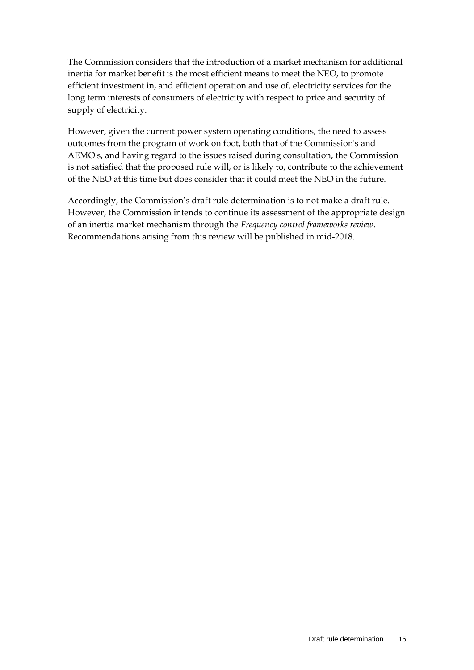The Commission considers that the introduction of a market mechanism for additional inertia for market benefit is the most efficient means to meet the NEO, to promote efficient investment in, and efficient operation and use of, electricity services for the long term interests of consumers of electricity with respect to price and security of supply of electricity.

However, given the current power system operating conditions, the need to assess outcomes from the program of work on foot, both that of the Commission's and AEMO's, and having regard to the issues raised during consultation, the Commission is not satisfied that the proposed rule will, or is likely to, contribute to the achievement of the NEO at this time but does consider that it could meet the NEO in the future.

Accordingly, the Commission's draft rule determination is to not make a draft rule. However, the Commission intends to continue its assessment of the appropriate design of an inertia market mechanism through the *Frequency control frameworks review*. Recommendations arising from this review will be published in mid-2018.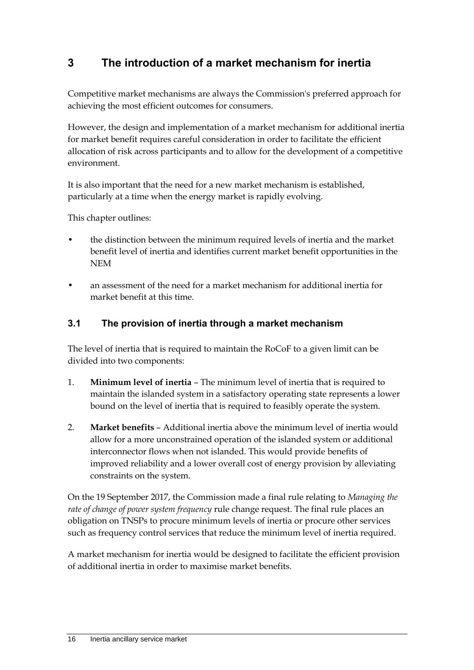# <span id="page-23-0"></span>**3 The introduction of a market mechanism for inertia**

Competitive market mechanisms are always the Commission's preferred approach for achieving the most efficient outcomes for consumers.

However, the design and implementation of a market mechanism for additional inertia for market benefit requires careful consideration in order to facilitate the efficient allocation of risk across participants and to allow for the development of a competitive environment.

It is also important that the need for a new market mechanism is established, particularly at a time when the energy market is rapidly evolving.

This chapter outlines:

- the distinction between the minimum required levels of inertia and the market benefit level of inertia and identifies current market benefit opportunities in the NEM
- an assessment of the need for a market mechanism for additional inertia for market benefit at this time.

## <span id="page-23-1"></span>**3.1 The provision of inertia through a market mechanism**

The level of inertia that is required to maintain the RoCoF to a given limit can be divided into two components:

- 1. **Minimum level of inertia** The minimum level of inertia that is required to maintain the islanded system in a satisfactory operating state represents a lower bound on the level of inertia that is required to feasibly operate the system.
- 2. **Market benefits** Additional inertia above the minimum level of inertia would allow for a more unconstrained operation of the islanded system or additional interconnector flows when not islanded. This would provide benefits of improved reliability and a lower overall cost of energy provision by alleviating constraints on the system.

On the 19 September 2017, the Commission made a final rule relating to *Managing the rate of change of power system frequency* rule change request. The final rule places an obligation on TNSPs to procure minimum levels of inertia or procure other services such as frequency control services that reduce the minimum level of inertia required.

A market mechanism for inertia would be designed to facilitate the efficient provision of additional inertia in order to maximise market benefits.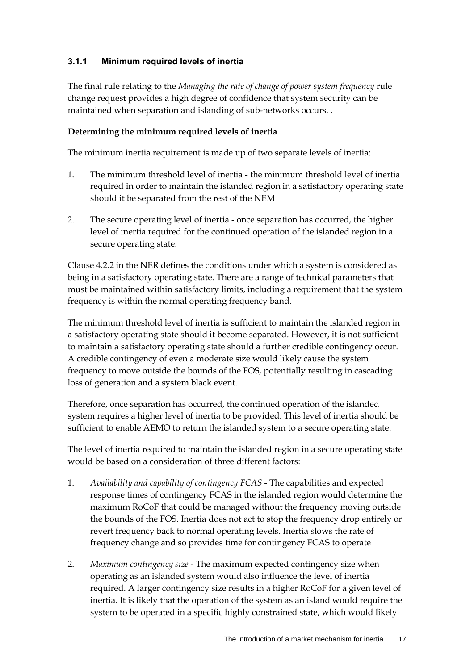### **3.1.1 Minimum required levels of inertia**

The final rule relating to the *Managing the rate of change of power system frequency* rule change request provides a high degree of confidence that system security can be maintained when separation and islanding of sub-networks occurs. .

#### **Determining the minimum required levels of inertia**

The minimum inertia requirement is made up of two separate levels of inertia:

- 1. The minimum threshold level of inertia the minimum threshold level of inertia required in order to maintain the islanded region in a satisfactory operating state should it be separated from the rest of the NEM
- 2. The secure operating level of inertia once separation has occurred, the higher level of inertia required for the continued operation of the islanded region in a secure operating state.

Clause 4.2.2 in the NER defines the conditions under which a system is considered as being in a satisfactory operating state. There are a range of technical parameters that must be maintained within satisfactory limits, including a requirement that the system frequency is within the normal operating frequency band.

The minimum threshold level of inertia is sufficient to maintain the islanded region in a satisfactory operating state should it become separated. However, it is not sufficient to maintain a satisfactory operating state should a further credible contingency occur. A credible contingency of even a moderate size would likely cause the system frequency to move outside the bounds of the FOS, potentially resulting in cascading loss of generation and a system black event.

Therefore, once separation has occurred, the continued operation of the islanded system requires a higher level of inertia to be provided. This level of inertia should be sufficient to enable AEMO to return the islanded system to a secure operating state.

The level of inertia required to maintain the islanded region in a secure operating state would be based on a consideration of three different factors:

- 1. *Availability and capability of contingency FCAS* The capabilities and expected response times of contingency FCAS in the islanded region would determine the maximum RoCoF that could be managed without the frequency moving outside the bounds of the FOS. Inertia does not act to stop the frequency drop entirely or revert frequency back to normal operating levels. Inertia slows the rate of frequency change and so provides time for contingency FCAS to operate
- 2. *Maximum contingency size* The maximum expected contingency size when operating as an islanded system would also influence the level of inertia required. A larger contingency size results in a higher RoCoF for a given level of inertia. It is likely that the operation of the system as an island would require the system to be operated in a specific highly constrained state, which would likely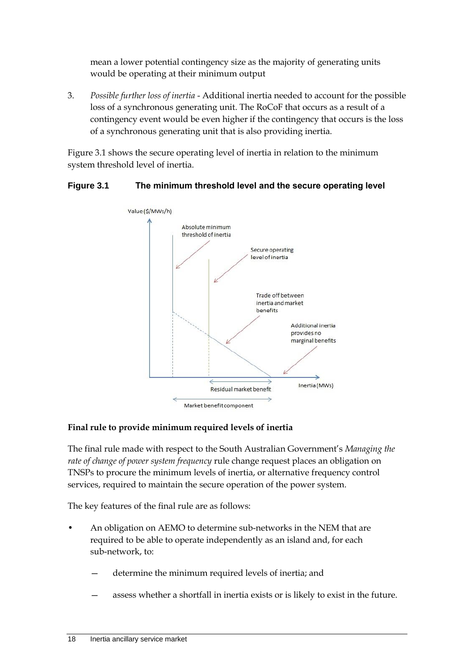mean a lower potential contingency size as the majority of generating units would be operating at their minimum output

3. *Possible further loss of inertia* - Additional inertia needed to account for the possible loss of a synchronous generating unit. The RoCoF that occurs as a result of a contingency event would be even higher if the contingency that occurs is the loss of a synchronous generating unit that is also providing inertia.

Figure 3.1 shows the secure operating level of inertia in relation to the minimum system threshold level of inertia.

#### **Figure 3.1 The minimum threshold level and the secure operating level**



#### **Final rule to provide minimum required levels of inertia**

The final rule made with respect to the South Australian Government's *Managing the rate of change of power system frequency* rule change request places an obligation on TNSPs to procure the minimum levels of inertia, or alternative frequency control services, required to maintain the secure operation of the power system.

The key features of the final rule are as follows:

- An obligation on AEMO to determine sub-networks in the NEM that are required to be able to operate independently as an island and, for each sub-network, to:
	- determine the minimum required levels of inertia; and
	- assess whether a shortfall in inertia exists or is likely to exist in the future.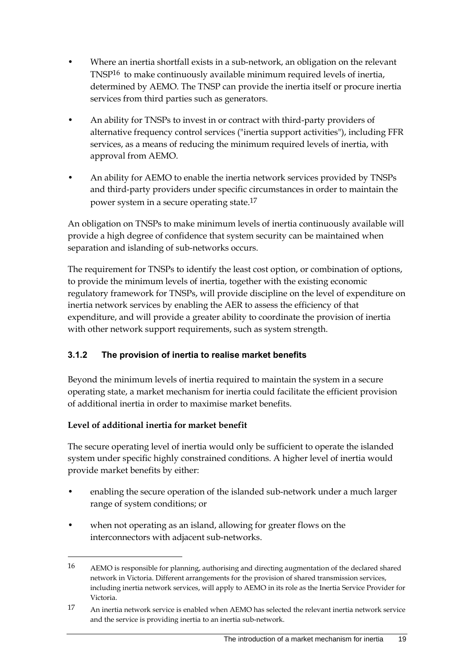- Where an inertia shortfall exists in a sub-network, an obligation on the relevant TNSP16 to make continuously available minimum required levels of inertia, determined by AEMO. The TNSP can provide the inertia itself or procure inertia services from third parties such as generators.
- An ability for TNSPs to invest in or contract with third-party providers of alternative frequency control services ("inertia support activities"), including FFR services, as a means of reducing the minimum required levels of inertia, with approval from AEMO.
- An ability for AEMO to enable the inertia network services provided by TNSPs and third-party providers under specific circumstances in order to maintain the power system in a secure operating state.17

An obligation on TNSPs to make minimum levels of inertia continuously available will provide a high degree of confidence that system security can be maintained when separation and islanding of sub-networks occurs.

The requirement for TNSPs to identify the least cost option, or combination of options, to provide the minimum levels of inertia, together with the existing economic regulatory framework for TNSPs, will provide discipline on the level of expenditure on inertia network services by enabling the AER to assess the efficiency of that expenditure, and will provide a greater ability to coordinate the provision of inertia with other network support requirements, such as system strength.

## **3.1.2 The provision of inertia to realise market benefits**

Beyond the minimum levels of inertia required to maintain the system in a secure operating state, a market mechanism for inertia could facilitate the efficient provision of additional inertia in order to maximise market benefits.

#### **Level of additional inertia for market benefit**

<u>.</u>

The secure operating level of inertia would only be sufficient to operate the islanded system under specific highly constrained conditions. A higher level of inertia would provide market benefits by either:

- enabling the secure operation of the islanded sub-network under a much larger range of system conditions; or
- when not operating as an island, allowing for greater flows on the interconnectors with adjacent sub-networks.

<sup>16</sup> AEMO is responsible for planning, authorising and directing augmentation of the declared shared network in Victoria. Different arrangements for the provision of shared transmission services, including inertia network services, will apply to AEMO in its role as the Inertia Service Provider for Victoria.

<sup>17</sup> An inertia network service is enabled when AEMO has selected the relevant inertia network service and the service is providing inertia to an inertia sub-network.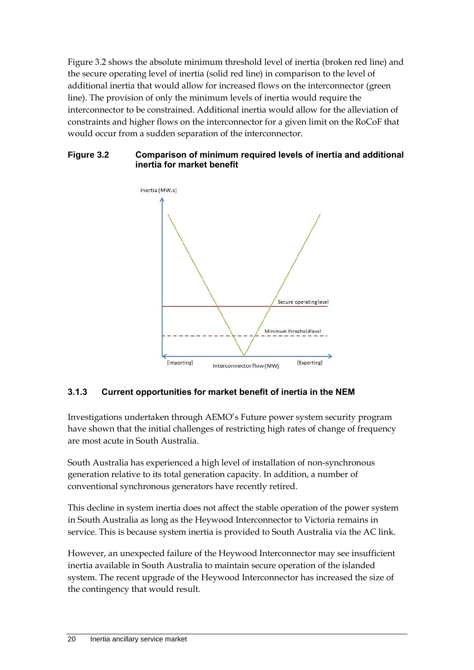Figure 3.2 shows the absolute minimum threshold level of inertia (broken red line) and the secure operating level of inertia (solid red line) in comparison to the level of additional inertia that would allow for increased flows on the interconnector (green line). The provision of only the minimum levels of inertia would require the interconnector to be constrained. Additional inertia would allow for the alleviation of constraints and higher flows on the interconnector for a given limit on the RoCoF that would occur from a sudden separation of the interconnector.

#### **Figure 3.2 Comparison of minimum required levels of inertia and additional inertia for market benefit**



## **3.1.3 Current opportunities for market benefit of inertia in the NEM**

Investigations undertaken through AEMO's Future power system security program have shown that the initial challenges of restricting high rates of change of frequency are most acute in South Australia.

South Australia has experienced a high level of installation of non-synchronous generation relative to its total generation capacity. In addition, a number of conventional synchronous generators have recently retired.

This decline in system inertia does not affect the stable operation of the power system in South Australia as long as the Heywood Interconnector to Victoria remains in service. This is because system inertia is provided to South Australia via the AC link.

However, an unexpected failure of the Heywood Interconnector may see insufficient inertia available in South Australia to maintain secure operation of the islanded system. The recent upgrade of the Heywood Interconnector has increased the size of the contingency that would result.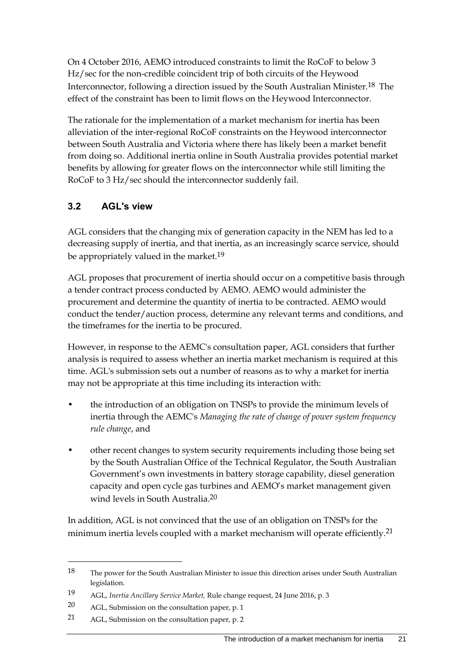On 4 October 2016, AEMO introduced constraints to limit the RoCoF to below 3 Hz/sec for the non-credible coincident trip of both circuits of the Heywood Interconnector, following a direction issued by the South Australian Minister.18 The effect of the constraint has been to limit flows on the Heywood Interconnector.

The rationale for the implementation of a market mechanism for inertia has been alleviation of the inter-regional RoCoF constraints on the Heywood interconnector between South Australia and Victoria where there has likely been a market benefit from doing so. Additional inertia online in South Australia provides potential market benefits by allowing for greater flows on the interconnector while still limiting the RoCoF to 3 Hz/sec should the interconnector suddenly fail.

## <span id="page-28-0"></span>**3.2 AGL's view**

AGL considers that the changing mix of generation capacity in the NEM has led to a decreasing supply of inertia, and that inertia, as an increasingly scarce service, should be appropriately valued in the market.<sup>19</sup>

AGL proposes that procurement of inertia should occur on a competitive basis through a tender contract process conducted by AEMO. AEMO would administer the procurement and determine the quantity of inertia to be contracted. AEMO would conduct the tender/auction process, determine any relevant terms and conditions, and the timeframes for the inertia to be procured.

However, in response to the AEMC's consultation paper, AGL considers that further analysis is required to assess whether an inertia market mechanism is required at this time. AGL's submission sets out a number of reasons as to why a market for inertia may not be appropriate at this time including its interaction with:

- the introduction of an obligation on TNSPs to provide the minimum levels of inertia through the AEMC's *Managing the rate of change of power system frequency rule change*, and
- other recent changes to system security requirements including those being set by the South Australian Office of the Technical Regulator, the South Australian Government's own investments in battery storage capability, diesel generation capacity and open cycle gas turbines and AEMO's market management given wind levels in South Australia.20

In addition, AGL is not convinced that the use of an obligation on TNSPs for the minimum inertia levels coupled with a market mechanism will operate efficiently.<sup>21</sup>

<sup>18</sup> The power for the South Australian Minister to issue this direction arises under South Australian legislation.

<sup>19</sup> AGL, *Inertia Ancillary Service Market,* Rule change request, 24 June 2016, p. 3

<sup>20</sup> AGL, Submission on the consultation paper, p. 1

<sup>21</sup> AGL, Submission on the consultation paper, p. 2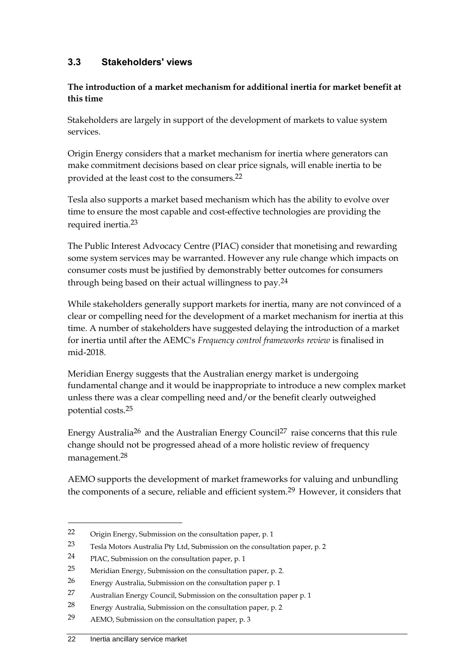### <span id="page-29-0"></span>**3.3 Stakeholders' views**

#### **The introduction of a market mechanism for additional inertia for market benefit at this time**

Stakeholders are largely in support of the development of markets to value system services.

Origin Energy considers that a market mechanism for inertia where generators can make commitment decisions based on clear price signals, will enable inertia to be provided at the least cost to the consumers.22

Tesla also supports a market based mechanism which has the ability to evolve over time to ensure the most capable and cost-effective technologies are providing the required inertia.23

The Public Interest Advocacy Centre (PIAC) consider that monetising and rewarding some system services may be warranted. However any rule change which impacts on consumer costs must be justified by demonstrably better outcomes for consumers through being based on their actual willingness to pay.24

While stakeholders generally support markets for inertia, many are not convinced of a clear or compelling need for the development of a market mechanism for inertia at this time. A number of stakeholders have suggested delaying the introduction of a market for inertia until after the AEMC's *Frequency control frameworks review* is finalised in mid-2018.

Meridian Energy suggests that the Australian energy market is undergoing fundamental change and it would be inappropriate to introduce a new complex market unless there was a clear compelling need and/or the benefit clearly outweighed potential costs.25

Energy Australia26 and the Australian Energy Council27 raise concerns that this rule change should not be progressed ahead of a more holistic review of frequency management.28

AEMO supports the development of market frameworks for valuing and unbundling the components of a secure, reliable and efficient system.<sup>29</sup> However, it considers that

<sup>22</sup> Origin Energy, Submission on the consultation paper, p. 1

<sup>23</sup> Tesla Motors Australia Pty Ltd, Submission on the consultation paper, p. 2

<sup>24</sup> PIAC, Submission on the consultation paper, p. 1

<sup>25</sup> Meridian Energy, Submission on the consultation paper, p. 2.

<sup>26</sup> Energy Australia, Submission on the consultation paper p. 1

<sup>27</sup> Australian Energy Council, Submission on the consultation paper p. 1

<sup>28</sup> Energy Australia, Submission on the consultation paper, p. 2

<sup>29</sup> AEMO, Submission on the consultation paper, p. 3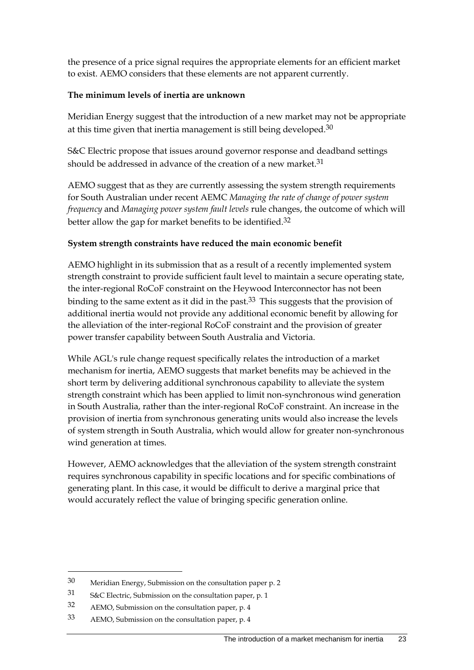the presence of a price signal requires the appropriate elements for an efficient market to exist. AEMO considers that these elements are not apparent currently.

#### **The minimum levels of inertia are unknown**

Meridian Energy suggest that the introduction of a new market may not be appropriate at this time given that inertia management is still being developed.<sup>30</sup>

S&C Electric propose that issues around governor response and deadband settings should be addressed in advance of the creation of a new market.<sup>31</sup>

AEMO suggest that as they are currently assessing the system strength requirements for South Australian under recent AEMC *Managing the rate of change of power system frequency* and *Managing power system fault levels* rule changes, the outcome of which will better allow the gap for market benefits to be identified.32

#### **System strength constraints have reduced the main economic benefit**

AEMO highlight in its submission that as a result of a recently implemented system strength constraint to provide sufficient fault level to maintain a secure operating state, the inter-regional RoCoF constraint on the Heywood Interconnector has not been binding to the same extent as it did in the past.<sup>33</sup> This suggests that the provision of additional inertia would not provide any additional economic benefit by allowing for the alleviation of the inter-regional RoCoF constraint and the provision of greater power transfer capability between South Australia and Victoria.

While AGL's rule change request specifically relates the introduction of a market mechanism for inertia, AEMO suggests that market benefits may be achieved in the short term by delivering additional synchronous capability to alleviate the system strength constraint which has been applied to limit non-synchronous wind generation in South Australia, rather than the inter-regional RoCoF constraint. An increase in the provision of inertia from synchronous generating units would also increase the levels of system strength in South Australia, which would allow for greater non-synchronous wind generation at times.

However, AEMO acknowledges that the alleviation of the system strength constraint requires synchronous capability in specific locations and for specific combinations of generating plant. In this case, it would be difficult to derive a marginal price that would accurately reflect the value of bringing specific generation online.

<sup>30</sup> Meridian Energy, Submission on the consultation paper p. 2

<sup>31</sup> S&C Electric, Submission on the consultation paper, p. 1

<sup>32</sup> AEMO, Submission on the consultation paper, p. 4

<sup>33</sup> AEMO, Submission on the consultation paper, p. 4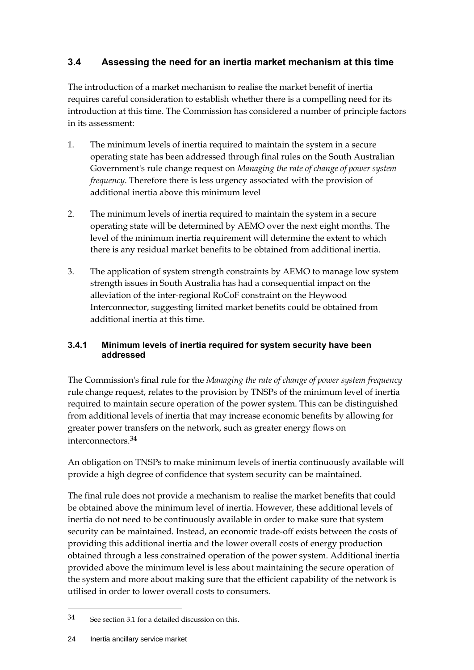## <span id="page-31-0"></span>**3.4 Assessing the need for an inertia market mechanism at this time**

The introduction of a market mechanism to realise the market benefit of inertia requires careful consideration to establish whether there is a compelling need for its introduction at this time. The Commission has considered a number of principle factors in its assessment:

- 1. The minimum levels of inertia required to maintain the system in a secure operating state has been addressed through final rules on the South Australian Government's rule change request on *Managing the rate of change of power system frequency*. Therefore there is less urgency associated with the provision of additional inertia above this minimum level
- 2. The minimum levels of inertia required to maintain the system in a secure operating state will be determined by AEMO over the next eight months. The level of the minimum inertia requirement will determine the extent to which there is any residual market benefits to be obtained from additional inertia.
- 3. The application of system strength constraints by AEMO to manage low system strength issues in South Australia has had a consequential impact on the alleviation of the inter-regional RoCoF constraint on the Heywood Interconnector, suggesting limited market benefits could be obtained from additional inertia at this time.

#### **3.4.1 Minimum levels of inertia required for system security have been addressed**

The Commission's final rule for the *Managing the rate of change of power system frequency*  rule change request, relates to the provision by TNSPs of the minimum level of inertia required to maintain secure operation of the power system. This can be distinguished from additional levels of inertia that may increase economic benefits by allowing for greater power transfers on the network, such as greater energy flows on interconnectors.34

An obligation on TNSPs to make minimum levels of inertia continuously available will provide a high degree of confidence that system security can be maintained.

The final rule does not provide a mechanism to realise the market benefits that could be obtained above the minimum level of inertia. However, these additional levels of inertia do not need to be continuously available in order to make sure that system security can be maintained. Instead, an economic trade-off exists between the costs of providing this additional inertia and the lower overall costs of energy production obtained through a less constrained operation of the power system. Additional inertia provided above the minimum level is less about maintaining the secure operation of the system and more about making sure that the efficient capability of the network is utilised in order to lower overall costs to consumers.

<sup>34</sup> See section 3.1 for a detailed discussion on this.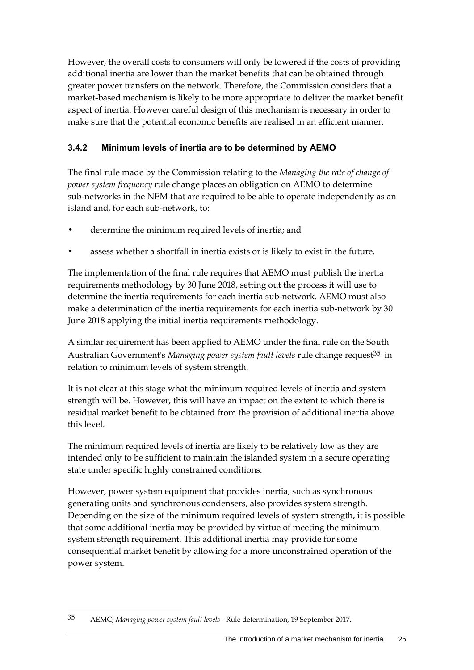However, the overall costs to consumers will only be lowered if the costs of providing additional inertia are lower than the market benefits that can be obtained through greater power transfers on the network. Therefore, the Commission considers that a market-based mechanism is likely to be more appropriate to deliver the market benefit aspect of inertia. However careful design of this mechanism is necessary in order to make sure that the potential economic benefits are realised in an efficient manner.

### **3.4.2 Minimum levels of inertia are to be determined by AEMO**

The final rule made by the Commission relating to the *Managing the rate of change of power system frequency* rule change places an obligation on AEMO to determine sub-networks in the NEM that are required to be able to operate independently as an island and, for each sub-network, to:

- determine the minimum required levels of inertia; and
- assess whether a shortfall in inertia exists or is likely to exist in the future.

The implementation of the final rule requires that AEMO must publish the inertia requirements methodology by 30 June 2018, setting out the process it will use to determine the inertia requirements for each inertia sub-network. AEMO must also make a determination of the inertia requirements for each inertia sub-network by 30 June 2018 applying the initial inertia requirements methodology.

A similar requirement has been applied to AEMO under the final rule on the South Australian Government's *Managing power system fault levels* rule change request<sup>35</sup> in relation to minimum levels of system strength.

It is not clear at this stage what the minimum required levels of inertia and system strength will be. However, this will have an impact on the extent to which there is residual market benefit to be obtained from the provision of additional inertia above this level.

The minimum required levels of inertia are likely to be relatively low as they are intended only to be sufficient to maintain the islanded system in a secure operating state under specific highly constrained conditions.

However, power system equipment that provides inertia, such as synchronous generating units and synchronous condensers, also provides system strength. Depending on the size of the minimum required levels of system strength, it is possible that some additional inertia may be provided by virtue of meeting the minimum system strength requirement. This additional inertia may provide for some consequential market benefit by allowing for a more unconstrained operation of the power system.

<sup>35</sup> AEMC, *Managing power system fault levels* - Rule determination, 19 September 2017.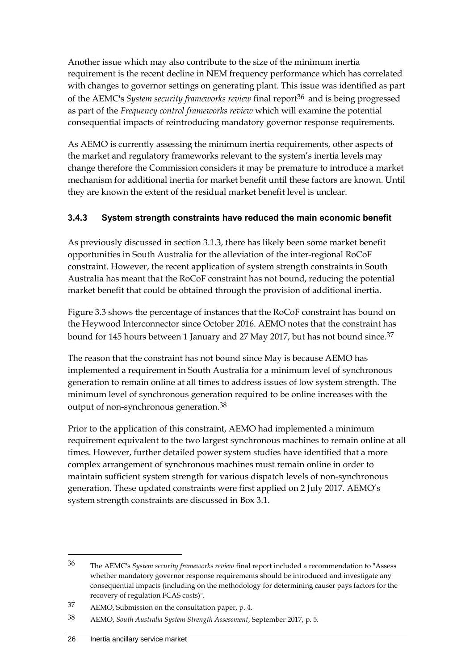Another issue which may also contribute to the size of the minimum inertia requirement is the recent decline in NEM frequency performance which has correlated with changes to governor settings on generating plant. This issue was identified as part of the AEMC's *System security frameworks review* final report36 and is being progressed as part of the *Frequency control frameworks review* which will examine the potential consequential impacts of reintroducing mandatory governor response requirements.

As AEMO is currently assessing the minimum inertia requirements, other aspects of the market and regulatory frameworks relevant to the system's inertia levels may change therefore the Commission considers it may be premature to introduce a market mechanism for additional inertia for market benefit until these factors are known. Until they are known the extent of the residual market benefit level is unclear.

#### **3.4.3 System strength constraints have reduced the main economic benefit**

As previously discussed in section 3.1.3, there has likely been some market benefit opportunities in South Australia for the alleviation of the inter-regional RoCoF constraint. However, the recent application of system strength constraints in South Australia has meant that the RoCoF constraint has not bound, reducing the potential market benefit that could be obtained through the provision of additional inertia.

Figure 3.3 shows the percentage of instances that the RoCoF constraint has bound on the Heywood Interconnector since October 2016. AEMO notes that the constraint has bound for 145 hours between 1 January and 27 May 2017, but has not bound since.<sup>37</sup>

The reason that the constraint has not bound since May is because AEMO has implemented a requirement in South Australia for a minimum level of synchronous generation to remain online at all times to address issues of low system strength. The minimum level of synchronous generation required to be online increases with the output of non-synchronous generation.38

Prior to the application of this constraint, AEMO had implemented a minimum requirement equivalent to the two largest synchronous machines to remain online at all times. However, further detailed power system studies have identified that a more complex arrangement of synchronous machines must remain online in order to maintain sufficient system strength for various dispatch levels of non-synchronous generation. These updated constraints were first applied on 2 July 2017. AEMO's system strength constraints are discussed in Box 3.1.

<sup>36</sup> The AEMC's *System security frameworks review* final report included a recommendation to "Assess whether mandatory governor response requirements should be introduced and investigate any consequential impacts (including on the methodology for determining causer pays factors for the recovery of regulation FCAS costs)".

<sup>37</sup> AEMO, Submission on the consultation paper, p. 4.

<sup>38</sup> AEMO, *South Australia System Strength Assessment*, September 2017, p. 5.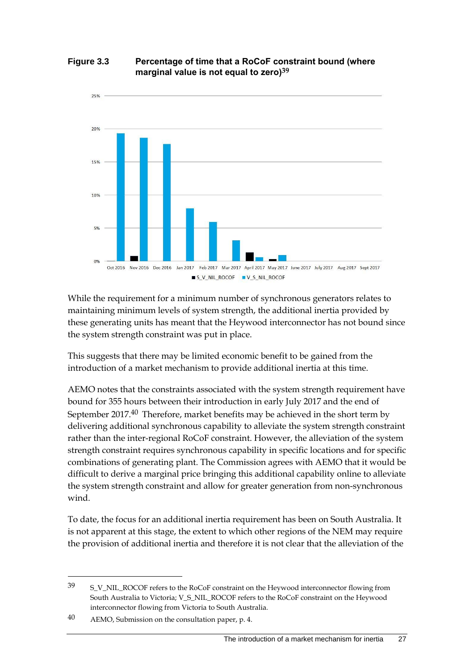#### **Figure 3.3 Percentage of time that a RoCoF constraint bound (where marginal value is not equal to zero)39**



While the requirement for a minimum number of synchronous generators relates to maintaining minimum levels of system strength, the additional inertia provided by these generating units has meant that the Heywood interconnector has not bound since the system strength constraint was put in place.

This suggests that there may be limited economic benefit to be gained from the introduction of a market mechanism to provide additional inertia at this time.

AEMO notes that the constraints associated with the system strength requirement have bound for 355 hours between their introduction in early July 2017 and the end of September 2017.40 Therefore, market benefits may be achieved in the short term by delivering additional synchronous capability to alleviate the system strength constraint rather than the inter-regional RoCoF constraint. However, the alleviation of the system strength constraint requires synchronous capability in specific locations and for specific combinations of generating plant. The Commission agrees with AEMO that it would be difficult to derive a marginal price bringing this additional capability online to alleviate the system strength constraint and allow for greater generation from non-synchronous wind.

To date, the focus for an additional inertia requirement has been on South Australia. It is not apparent at this stage, the extent to which other regions of the NEM may require the provision of additional inertia and therefore it is not clear that the alleviation of the

<sup>39</sup> S\_V\_NIL\_ROCOF refers to the RoCoF constraint on the Heywood interconnector flowing from South Australia to Victoria; V\_S\_NIL\_ROCOF refers to the RoCoF constraint on the Heywood interconnector flowing from Victoria to South Australia.

<sup>40</sup> AEMO, Submission on the consultation paper, p. 4.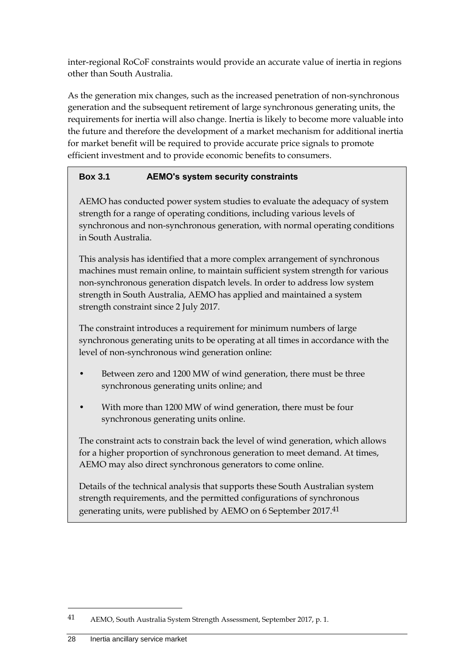inter-regional RoCoF constraints would provide an accurate value of inertia in regions other than South Australia.

As the generation mix changes, such as the increased penetration of non-synchronous generation and the subsequent retirement of large synchronous generating units, the requirements for inertia will also change. Inertia is likely to become more valuable into the future and therefore the development of a market mechanism for additional inertia for market benefit will be required to provide accurate price signals to promote efficient investment and to provide economic benefits to consumers.

### **Box 3.1 AEMO's system security constraints**

AEMO has conducted power system studies to evaluate the adequacy of system strength for a range of operating conditions, including various levels of synchronous and non-synchronous generation, with normal operating conditions in South Australia.

This analysis has identified that a more complex arrangement of synchronous machines must remain online, to maintain sufficient system strength for various non-synchronous generation dispatch levels. In order to address low system strength in South Australia, AEMO has applied and maintained a system strength constraint since 2 July 2017.

The constraint introduces a requirement for minimum numbers of large synchronous generating units to be operating at all times in accordance with the level of non-synchronous wind generation online:

- Between zero and 1200 MW of wind generation, there must be three synchronous generating units online; and
- With more than 1200 MW of wind generation, there must be four synchronous generating units online.

The constraint acts to constrain back the level of wind generation, which allows for a higher proportion of synchronous generation to meet demand. At times, AEMO may also direct synchronous generators to come online.

Details of the technical analysis that supports these South Australian system strength requirements, and the permitted configurations of synchronous generating units, were published by AEMO on 6 September 2017.41

<sup>41</sup> AEMO, South Australia System Strength Assessment, September 2017, p. 1.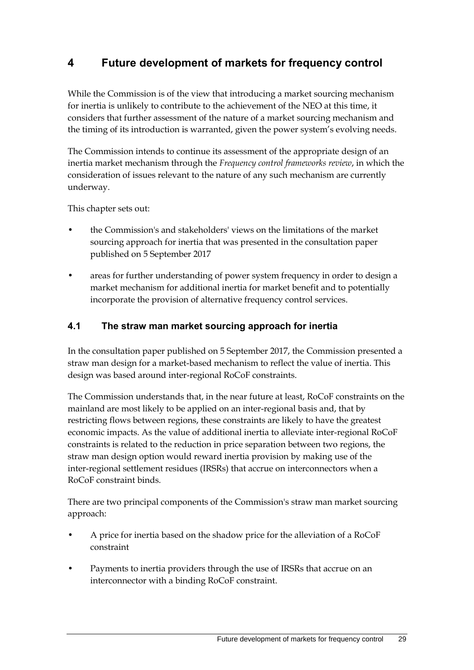# <span id="page-36-0"></span>**4 Future development of markets for frequency control**

<span id="page-36-2"></span>While the Commission is of the view that introducing a market sourcing mechanism for inertia is unlikely to contribute to the achievement of the NEO at this time, it considers that further assessment of the nature of a market sourcing mechanism and the timing of its introduction is warranted, given the power system's evolving needs.

The Commission intends to continue its assessment of the appropriate design of an inertia market mechanism through the *Frequency control frameworks review*, in which the consideration of issues relevant to the nature of any such mechanism are currently underway.

This chapter sets out:

- the Commission's and stakeholders' views on the limitations of the market sourcing approach for inertia that was presented in the consultation paper published on 5 September 2017
- areas for further understanding of power system frequency in order to design a market mechanism for additional inertia for market benefit and to potentially incorporate the provision of alternative frequency control services.

### <span id="page-36-1"></span>**4.1 The straw man market sourcing approach for inertia**

In the consultation paper published on 5 September 2017, the Commission presented a straw man design for a market-based mechanism to reflect the value of inertia. This design was based around inter-regional RoCoF constraints.

The Commission understands that, in the near future at least, RoCoF constraints on the mainland are most likely to be applied on an inter-regional basis and, that by restricting flows between regions, these constraints are likely to have the greatest economic impacts. As the value of additional inertia to alleviate inter-regional RoCoF constraints is related to the reduction in price separation between two regions, the straw man design option would reward inertia provision by making use of the inter-regional settlement residues (IRSRs) that accrue on interconnectors when a RoCoF constraint binds.

There are two principal components of the Commission's straw man market sourcing approach:

- A price for inertia based on the shadow price for the alleviation of a RoCoF constraint
- Payments to inertia providers through the use of IRSRs that accrue on an interconnector with a binding RoCoF constraint.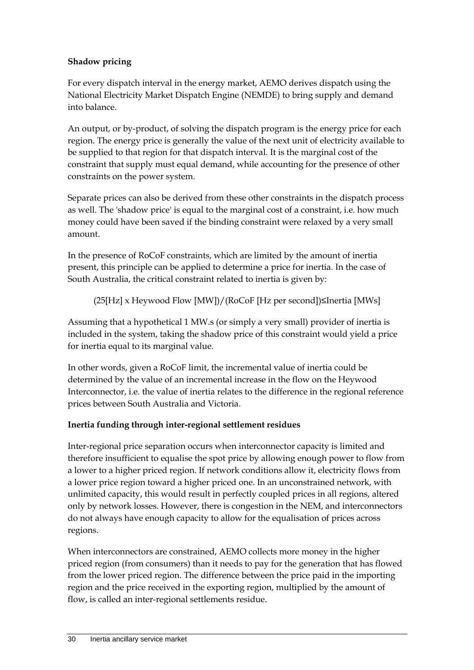### **Shadow pricing**

For every dispatch interval in the energy market, AEMO derives dispatch using the National Electricity Market Dispatch Engine (NEMDE) to bring supply and demand into balance.

An output, or by-product, of solving the dispatch program is the energy price for each region. The energy price is generally the value of the next unit of electricity available to be supplied to that region for that dispatch interval. It is the marginal cost of the constraint that supply must equal demand, while accounting for the presence of other constraints on the power system.

Separate prices can also be derived from these other constraints in the dispatch process as well. The 'shadow price' is equal to the marginal cost of a constraint, i.e. how much money could have been saved if the binding constraint were relaxed by a very small amount.

In the presence of RoCoF constraints, which are limited by the amount of inertia present, this principle can be applied to determine a price for inertia. In the case of South Australia, the critical constraint related to inertia is given by:

(25[Hz] x Heywood Flow [MW])/(RoCoF [Hz per second])≤Inertia [MWs]

Assuming that a hypothetical 1 MW.s (or simply a very small) provider of inertia is included in the system, taking the shadow price of this constraint would yield a price for inertia equal to its marginal value.

In other words, given a RoCoF limit, the incremental value of inertia could be determined by the value of an incremental increase in the flow on the Heywood Interconnector, i.e. the value of inertia relates to the difference in the regional reference prices between South Australia and Victoria.

## **Inertia funding through inter-regional settlement residues**

Inter-regional price separation occurs when interconnector capacity is limited and therefore insufficient to equalise the spot price by allowing enough power to flow from a lower to a higher priced region. If network conditions allow it, electricity flows from a lower price region toward a higher priced one. In an unconstrained network, with unlimited capacity, this would result in perfectly coupled prices in all regions, altered only by network losses. However, there is congestion in the NEM, and interconnectors do not always have enough capacity to allow for the equalisation of prices across regions.

When interconnectors are constrained, AEMO collects more money in the higher priced region (from consumers) than it needs to pay for the generation that has flowed from the lower priced region. The difference between the price paid in the importing region and the price received in the exporting region, multiplied by the amount of flow, is called an inter-regional settlements residue.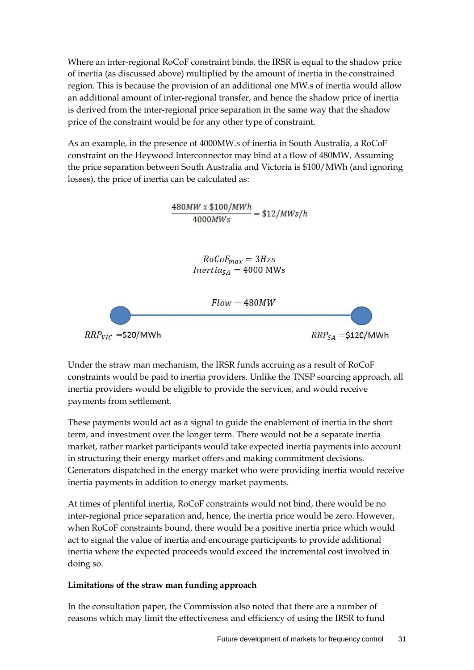Where an inter-regional RoCoF constraint binds, the IRSR is equal to the shadow price of inertia (as discussed above) multiplied by the amount of inertia in the constrained region. This is because the provision of an additional one MW.s of inertia would allow an additional amount of inter-regional transfer, and hence the shadow price of inertia is derived from the inter-regional price separation in the same way that the shadow price of the constraint would be for any other type of constraint.

As an example, in the presence of 4000MW.s of inertia in South Australia, a RoCoF constraint on the Heywood Interconnector may bind at a flow of 480MW. Assuming the price separation between South Australia and Victoria is \$100/MWh (and ignoring losses), the price of inertia can be calculated as:

 $\frac{480MW \times \$100/MWh}{4000MWs} = \$12/MWs/h$ 

 $RoCoF_{max} = 3Hzs$  $Inertia_{SA} = 4000$  MWs



Under the straw man mechanism, the IRSR funds accruing as a result of RoCoF constraints would be paid to inertia providers. Unlike the TNSP sourcing approach, all inertia providers would be eligible to provide the services, and would receive payments from settlement.

These payments would act as a signal to guide the enablement of inertia in the short term, and investment over the longer term. There would not be a separate inertia market, rather market participants would take expected inertia payments into account in structuring their energy market offers and making commitment decisions. Generators dispatched in the energy market who were providing inertia would receive inertia payments in addition to energy market payments.

At times of plentiful inertia, RoCoF constraints would not bind, there would be no inter-regional price separation and, hence, the inertia price would be zero. However, when RoCoF constraints bound, there would be a positive inertia price which would act to signal the value of inertia and encourage participants to provide additional inertia where the expected proceeds would exceed the incremental cost involved in doing so.

#### **Limitations of the straw man funding approach**

In the consultation paper, the Commission also noted that there are a number of reasons which may limit the effectiveness and efficiency of using the IRSR to fund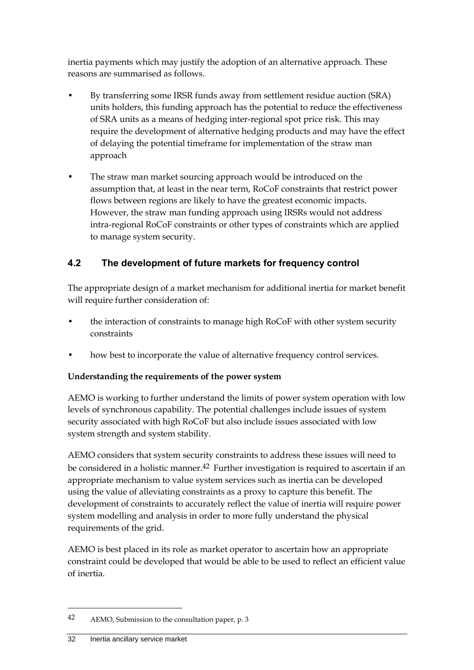inertia payments which may justify the adoption of an alternative approach. These reasons are summarised as follows.

- By transferring some IRSR funds away from settlement residue auction (SRA) units holders, this funding approach has the potential to reduce the effectiveness of SRA units as a means of hedging inter-regional spot price risk. This may require the development of alternative hedging products and may have the effect of delaying the potential timeframe for implementation of the straw man approach
- The straw man market sourcing approach would be introduced on the assumption that, at least in the near term, RoCoF constraints that restrict power flows between regions are likely to have the greatest economic impacts. However, the straw man funding approach using IRSRs would not address intra-regional RoCoF constraints or other types of constraints which are applied to manage system security.

## <span id="page-39-0"></span>**4.2 The development of future markets for frequency control**

The appropriate design of a market mechanism for additional inertia for market benefit will require further consideration of:

- the interaction of constraints to manage high RoCoF with other system security constraints
- how best to incorporate the value of alternative frequency control services.

#### **Understanding the requirements of the power system**

AEMO is working to further understand the limits of power system operation with low levels of synchronous capability. The potential challenges include issues of system security associated with high RoCoF but also include issues associated with low system strength and system stability.

AEMO considers that system security constraints to address these issues will need to be considered in a holistic manner.<sup>42</sup> Further investigation is required to ascertain if an appropriate mechanism to value system services such as inertia can be developed using the value of alleviating constraints as a proxy to capture this benefit. The development of constraints to accurately reflect the value of inertia will require power system modelling and analysis in order to more fully understand the physical requirements of the grid.

AEMO is best placed in its role as market operator to ascertain how an appropriate constraint could be developed that would be able to be used to reflect an efficient value of inertia.

<sup>42</sup> AEMO, Submission to the consultation paper, p. 3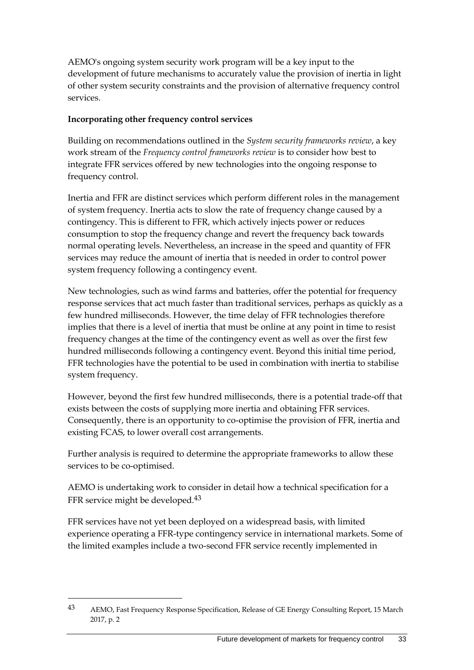AEMO's ongoing system security work program will be a key input to the development of future mechanisms to accurately value the provision of inertia in light of other system security constraints and the provision of alternative frequency control services.

#### **Incorporating other frequency control services**

Building on recommendations outlined in the *System security frameworks review*, a key work stream of the *Frequency control frameworks review* is to consider how best to integrate FFR services offered by new technologies into the ongoing response to frequency control.

Inertia and FFR are distinct services which perform different roles in the management of system frequency. Inertia acts to slow the rate of frequency change caused by a contingency. This is different to FFR, which actively injects power or reduces consumption to stop the frequency change and revert the frequency back towards normal operating levels. Nevertheless, an increase in the speed and quantity of FFR services may reduce the amount of inertia that is needed in order to control power system frequency following a contingency event.

New technologies, such as wind farms and batteries, offer the potential for frequency response services that act much faster than traditional services, perhaps as quickly as a few hundred milliseconds. However, the time delay of FFR technologies therefore implies that there is a level of inertia that must be online at any point in time to resist frequency changes at the time of the contingency event as well as over the first few hundred milliseconds following a contingency event. Beyond this initial time period, FFR technologies have the potential to be used in combination with inertia to stabilise system frequency.

However, beyond the first few hundred milliseconds, there is a potential trade-off that exists between the costs of supplying more inertia and obtaining FFR services. Consequently, there is an opportunity to co-optimise the provision of FFR, inertia and existing FCAS, to lower overall cost arrangements.

Further analysis is required to determine the appropriate frameworks to allow these services to be co-optimised.

AEMO is undertaking work to consider in detail how a technical specification for a FFR service might be developed.43

FFR services have not yet been deployed on a widespread basis, with limited experience operating a FFR-type contingency service in international markets. Some of the limited examples include a two-second FFR service recently implemented in

<sup>43</sup> AEMO, Fast Frequency Response Specification, Release of GE Energy Consulting Report, 15 March 2017, p. 2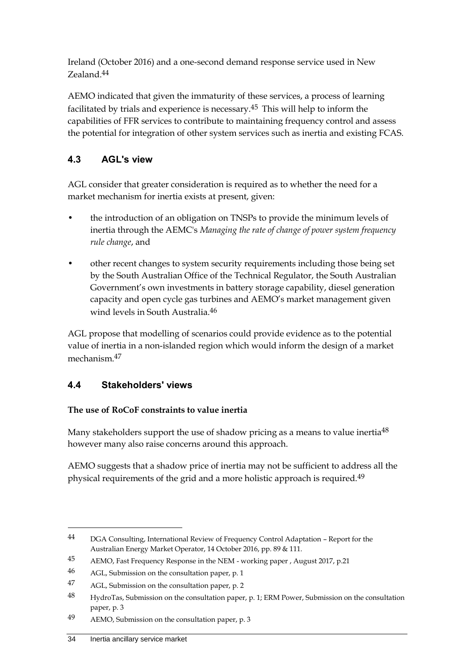Ireland (October 2016) and a one-second demand response service used in New Zealand.44

AEMO indicated that given the immaturity of these services, a process of learning facilitated by trials and experience is necessary.45 This will help to inform the capabilities of FFR services to contribute to maintaining frequency control and assess the potential for integration of other system services such as inertia and existing FCAS.

## <span id="page-41-0"></span>**4.3 AGL's view**

AGL consider that greater consideration is required as to whether the need for a market mechanism for inertia exists at present, given:

- the introduction of an obligation on TNSPs to provide the minimum levels of inertia through the AEMC's *Managing the rate of change of power system frequency rule change*, and
- other recent changes to system security requirements including those being set by the South Australian Office of the Technical Regulator, the South Australian Government's own investments in battery storage capability, diesel generation capacity and open cycle gas turbines and AEMO's market management given wind levels in South Australia.46

AGL propose that modelling of scenarios could provide evidence as to the potential value of inertia in a non-islanded region which would inform the design of a market mechanism.47

## <span id="page-41-1"></span>**4.4 Stakeholders' views**

#### **The use of RoCoF constraints to value inertia**

Many stakeholders support the use of shadow pricing as a means to value inertia<sup>48</sup> however many also raise concerns around this approach.

AEMO suggests that a shadow price of inertia may not be sufficient to address all the physical requirements of the grid and a more holistic approach is required.49

<sup>44</sup> DGA Consulting, International Review of Frequency Control Adaptation – Report for the Australian Energy Market Operator, 14 October 2016, pp. 89 & 111.

<sup>45</sup> AEMO, Fast Frequency Response in the NEM - working paper , August 2017, p.21

<sup>46</sup> AGL, Submission on the consultation paper, p. 1

<sup>47</sup> AGL, Submission on the consultation paper, p. 2

<sup>48</sup> HydroTas, Submission on the consultation paper, p. 1; ERM Power, Submission on the consultation paper, p. 3

<sup>49</sup> AEMO, Submission on the consultation paper, p. 3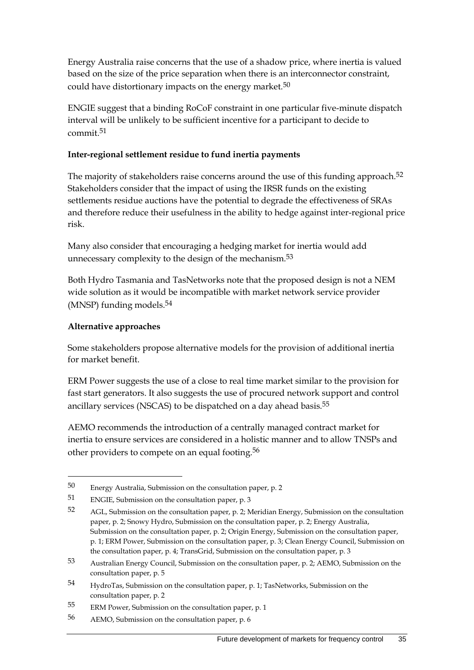Energy Australia raise concerns that the use of a shadow price, where inertia is valued based on the size of the price separation when there is an interconnector constraint, could have distortionary impacts on the energy market.<sup>50</sup>

ENGIE suggest that a binding RoCoF constraint in one particular five-minute dispatch interval will be unlikely to be sufficient incentive for a participant to decide to commit.51

#### **Inter-regional settlement residue to fund inertia payments**

The majority of stakeholders raise concerns around the use of this funding approach.<sup>52</sup> Stakeholders consider that the impact of using the IRSR funds on the existing settlements residue auctions have the potential to degrade the effectiveness of SRAs and therefore reduce their usefulness in the ability to hedge against inter-regional price risk.

Many also consider that encouraging a hedging market for inertia would add unnecessary complexity to the design of the mechanism.<sup>53</sup>

Both Hydro Tasmania and TasNetworks note that the proposed design is not a NEM wide solution as it would be incompatible with market network service provider (MNSP) funding models.54

#### **Alternative approaches**

<u>.</u>

Some stakeholders propose alternative models for the provision of additional inertia for market benefit.

ERM Power suggests the use of a close to real time market similar to the provision for fast start generators. It also suggests the use of procured network support and control ancillary services (NSCAS) to be dispatched on a day ahead basis.55

AEMO recommends the introduction of a centrally managed contract market for inertia to ensure services are considered in a holistic manner and to allow TNSPs and other providers to compete on an equal footing.<sup>56</sup>

<sup>50</sup> Energy Australia, Submission on the consultation paper, p. 2

<sup>51</sup> ENGIE, Submission on the consultation paper, p. 3

<sup>52</sup> AGL, Submission on the consultation paper, p. 2; Meridian Energy, Submission on the consultation paper, p. 2; Snowy Hydro, Submission on the consultation paper, p. 2; Energy Australia, Submission on the consultation paper, p. 2; Origin Energy, Submission on the consultation paper, p. 1; ERM Power, Submission on the consultation paper, p. 3; Clean Energy Council, Submission on the consultation paper, p. 4; TransGrid, Submission on the consultation paper, p. 3

<sup>53</sup> Australian Energy Council, Submission on the consultation paper, p. 2; AEMO, Submission on the consultation paper, p. 5

<sup>54</sup> HydroTas, Submission on the consultation paper, p. 1; TasNetworks, Submission on the consultation paper, p. 2

<sup>55</sup> ERM Power, Submission on the consultation paper, p. 1

<sup>56</sup> AEMO, Submission on the consultation paper, p. 6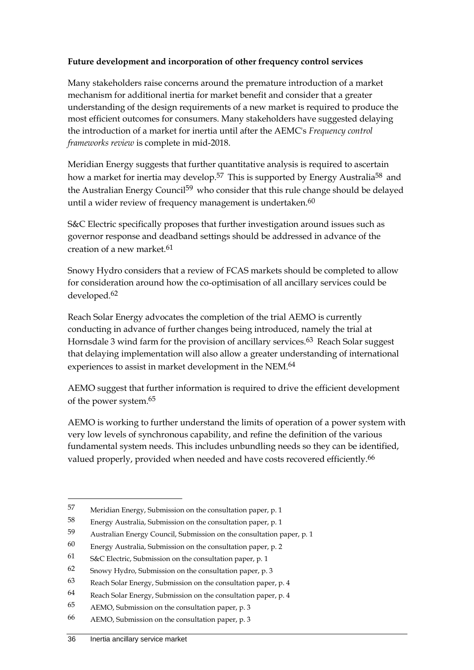#### **Future development and incorporation of other frequency control services**

Many stakeholders raise concerns around the premature introduction of a market mechanism for additional inertia for market benefit and consider that a greater understanding of the design requirements of a new market is required to produce the most efficient outcomes for consumers. Many stakeholders have suggested delaying the introduction of a market for inertia until after the AEMC's *Frequency control frameworks review* is complete in mid-2018.

Meridian Energy suggests that further quantitative analysis is required to ascertain how a market for inertia may develop.<sup>57</sup> This is supported by Energy Australia<sup>58</sup> and the Australian Energy Council<sup>59</sup> who consider that this rule change should be delayed until a wider review of frequency management is undertaken. $60$ 

S&C Electric specifically proposes that further investigation around issues such as governor response and deadband settings should be addressed in advance of the creation of a new market.<sup>61</sup>

Snowy Hydro considers that a review of FCAS markets should be completed to allow for consideration around how the co-optimisation of all ancillary services could be developed.62

Reach Solar Energy advocates the completion of the trial AEMO is currently conducting in advance of further changes being introduced, namely the trial at Hornsdale 3 wind farm for the provision of ancillary services.<sup>63</sup> Reach Solar suggest that delaying implementation will also allow a greater understanding of international experiences to assist in market development in the NEM.64

AEMO suggest that further information is required to drive the efficient development of the power system.65

AEMO is working to further understand the limits of operation of a power system with very low levels of synchronous capability, and refine the definition of the various fundamental system needs. This includes unbundling needs so they can be identified, valued properly, provided when needed and have costs recovered efficiently.<sup>66</sup>

<sup>57</sup> Meridian Energy, Submission on the consultation paper, p. 1

<sup>58</sup> Energy Australia, Submission on the consultation paper, p. 1

<sup>59</sup> Australian Energy Council, Submission on the consultation paper, p. 1

<sup>60</sup> Energy Australia, Submission on the consultation paper, p. 2

<sup>61</sup> S&C Electric, Submission on the consultation paper, p. 1

<sup>62</sup> Snowy Hydro, Submission on the consultation paper, p. 3

<sup>63</sup> Reach Solar Energy, Submission on the consultation paper, p. 4

<sup>64</sup> Reach Solar Energy, Submission on the consultation paper, p. 4

<sup>65</sup> AEMO, Submission on the consultation paper, p. 3

<sup>66</sup> AEMO, Submission on the consultation paper, p. 3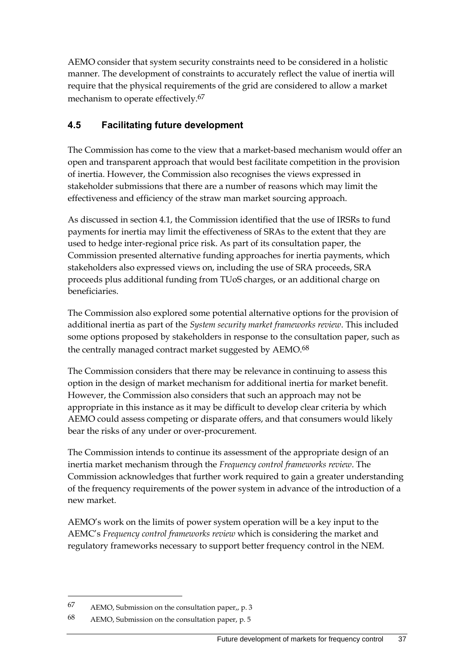AEMO consider that system security constraints need to be considered in a holistic manner. The development of constraints to accurately reflect the value of inertia will require that the physical requirements of the grid are considered to allow a market mechanism to operate effectively.67

## <span id="page-44-0"></span>**4.5 Facilitating future development**

The Commission has come to the view that a market-based mechanism would offer an open and transparent approach that would best facilitate competition in the provision of inertia. However, the Commission also recognises the views expressed in stakeholder submissions that there are a number of reasons which may limit the effectiveness and efficiency of the straw man market sourcing approach.

As discussed in section [4.1,](#page-36-1) the Commission identified that the use of IRSRs to fund payments for inertia may limit the effectiveness of SRAs to the extent that they are used to hedge inter-regional price risk. As part of its consultation paper, the Commission presented alternative funding approaches for inertia payments, which stakeholders also expressed views on, including the use of SRA proceeds, SRA proceeds plus additional funding from TUoS charges, or an additional charge on beneficiaries.

The Commission also explored some potential alternative options for the provision of additional inertia as part of the *System security market frameworks review*. This included some options proposed by stakeholders in response to the consultation paper, such as the centrally managed contract market suggested by AEMO.<sup>68</sup>

The Commission considers that there may be relevance in continuing to assess this option in the design of market mechanism for additional inertia for market benefit. However, the Commission also considers that such an approach may not be appropriate in this instance as it may be difficult to develop clear criteria by which AEMO could assess competing or disparate offers, and that consumers would likely bear the risks of any under or over-procurement.

The Commission intends to continue its assessment of the appropriate design of an inertia market mechanism through the *Frequency control frameworks review*. The Commission acknowledges that further work required to gain a greater understanding of the frequency requirements of the power system in advance of the introduction of a new market.

AEMO's work on the limits of power system operation will be a key input to the AEMC's *Frequency control frameworks review* which is considering the market and regulatory frameworks necessary to support better frequency control in the NEM.

<sup>67</sup> AEMO, Submission on the consultation paper,, p. 3

<sup>68</sup> AEMO, Submission on the consultation paper, p. 5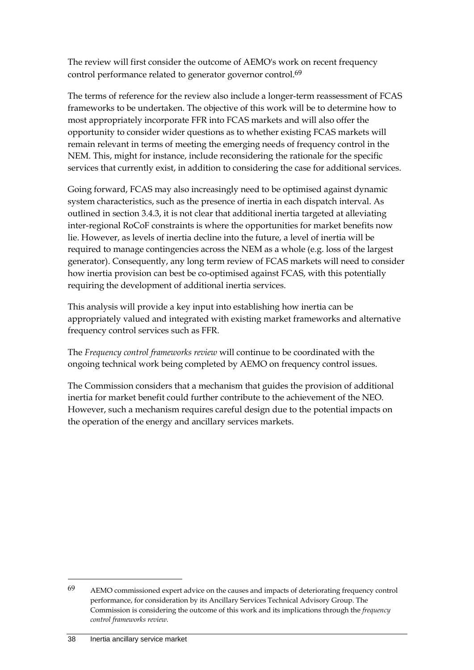The review will first consider the outcome of AEMO's work on recent frequency control performance related to generator governor control.<sup>69</sup>

The terms of reference for the review also include a longer-term reassessment of FCAS frameworks to be undertaken. The objective of this work will be to determine how to most appropriately incorporate FFR into FCAS markets and will also offer the opportunity to consider wider questions as to whether existing FCAS markets will remain relevant in terms of meeting the emerging needs of frequency control in the NEM. This, might for instance, include reconsidering the rationale for the specific services that currently exist, in addition to considering the case for additional services.

Going forward, FCAS may also increasingly need to be optimised against dynamic system characteristics, such as the presence of inertia in each dispatch interval. As outlined in section 3.4.3, it is not clear that additional inertia targeted at alleviating inter-regional RoCoF constraints is where the opportunities for market benefits now lie. However, as levels of inertia decline into the future, a level of inertia will be required to manage contingencies across the NEM as a whole (e.g. loss of the largest generator). Consequently, any long term review of FCAS markets will need to consider how inertia provision can best be co-optimised against FCAS, with this potentially requiring the development of additional inertia services.

This analysis will provide a key input into establishing how inertia can be appropriately valued and integrated with existing market frameworks and alternative frequency control services such as FFR.

The *Frequency control frameworks review* will continue to be coordinated with the ongoing technical work being completed by AEMO on frequency control issues.

The Commission considers that a mechanism that guides the provision of additional inertia for market benefit could further contribute to the achievement of the NEO. However, such a mechanism requires careful design due to the potential impacts on the operation of the energy and ancillary services markets.

<sup>69</sup> AEMO commissioned expert advice on the causes and impacts of deteriorating frequency control performance, for consideration by its Ancillary Services Technical Advisory Group. The Commission is considering the outcome of this work and its implications through the *frequency control frameworks review.*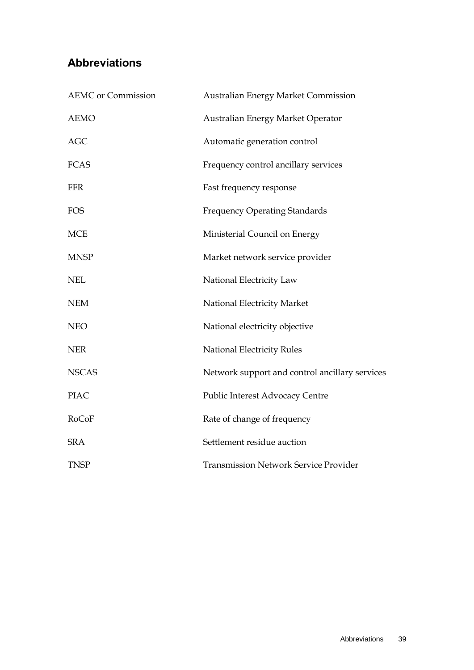# <span id="page-46-0"></span>**Abbreviations**

| <b>AEMC</b> or Commission | Australian Energy Market Commission            |
|---------------------------|------------------------------------------------|
| <b>AEMO</b>               | Australian Energy Market Operator              |
| <b>AGC</b>                | Automatic generation control                   |
| <b>FCAS</b>               | Frequency control ancillary services           |
| <b>FFR</b>                | Fast frequency response                        |
| <b>FOS</b>                | <b>Frequency Operating Standards</b>           |
| <b>MCE</b>                | Ministerial Council on Energy                  |
| <b>MNSP</b>               | Market network service provider                |
| <b>NEL</b>                | National Electricity Law                       |
| <b>NEM</b>                | National Electricity Market                    |
| <b>NEO</b>                | National electricity objective                 |
| <b>NER</b>                | National Electricity Rules                     |
| <b>NSCAS</b>              | Network support and control ancillary services |
| <b>PIAC</b>               | Public Interest Advocacy Centre                |
| RoCoF                     | Rate of change of frequency                    |
| <b>SRA</b>                | Settlement residue auction                     |
| <b>TNSP</b>               | <b>Transmission Network Service Provider</b>   |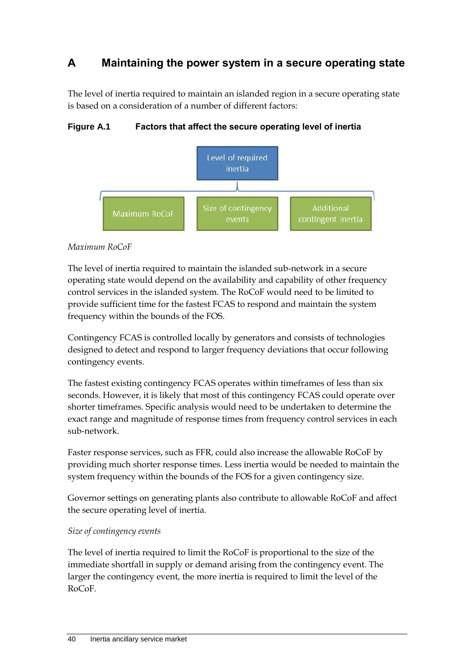# <span id="page-47-0"></span>**A Maintaining the power system in a secure operating state**

The level of inertia required to maintain an islanded region in a secure operating state is based on a consideration of a number of different factors:

Level of required inertia Size of contingency **Additional** Maximum RoCoF contingent inertia events

#### **Figure A.1 Factors that affect the secure operating level of inertia**

#### *Maximum RoCoF*

The level of inertia required to maintain the islanded sub-network in a secure operating state would depend on the availability and capability of other frequency control services in the islanded system. The RoCoF would need to be limited to provide sufficient time for the fastest FCAS to respond and maintain the system frequency within the bounds of the FOS.

Contingency FCAS is controlled locally by generators and consists of technologies designed to detect and respond to larger frequency deviations that occur following contingency events.

The fastest existing contingency FCAS operates within timeframes of less than six seconds. However, it is likely that most of this contingency FCAS could operate over shorter timeframes. Specific analysis would need to be undertaken to determine the exact range and magnitude of response times from frequency control services in each sub-network.

Faster response services, such as FFR, could also increase the allowable RoCoF by providing much shorter response times. Less inertia would be needed to maintain the system frequency within the bounds of the FOS for a given contingency size.

Governor settings on generating plants also contribute to allowable RoCoF and affect the secure operating level of inertia.

#### *Size of contingency events*

The level of inertia required to limit the RoCoF is proportional to the size of the immediate shortfall in supply or demand arising from the contingency event. The larger the contingency event, the more inertia is required to limit the level of the RoCoF.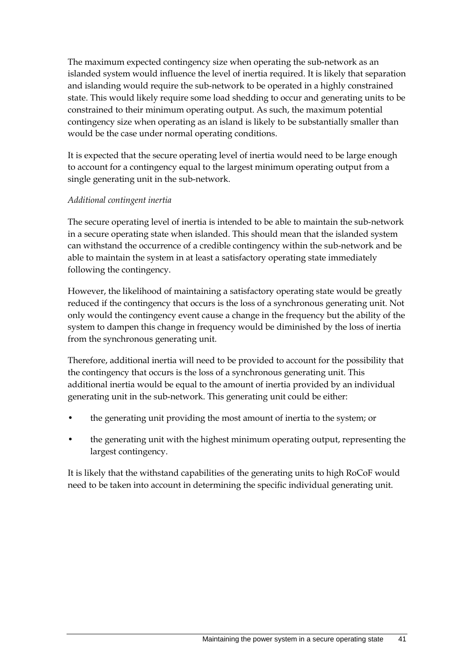The maximum expected contingency size when operating the sub-network as an islanded system would influence the level of inertia required. It is likely that separation and islanding would require the sub-network to be operated in a highly constrained state. This would likely require some load shedding to occur and generating units to be constrained to their minimum operating output. As such, the maximum potential contingency size when operating as an island is likely to be substantially smaller than would be the case under normal operating conditions.

It is expected that the secure operating level of inertia would need to be large enough to account for a contingency equal to the largest minimum operating output from a single generating unit in the sub-network.

#### *Additional contingent inertia*

The secure operating level of inertia is intended to be able to maintain the sub-network in a secure operating state when islanded. This should mean that the islanded system can withstand the occurrence of a credible contingency within the sub-network and be able to maintain the system in at least a satisfactory operating state immediately following the contingency.

However, the likelihood of maintaining a satisfactory operating state would be greatly reduced if the contingency that occurs is the loss of a synchronous generating unit. Not only would the contingency event cause a change in the frequency but the ability of the system to dampen this change in frequency would be diminished by the loss of inertia from the synchronous generating unit.

Therefore, additional inertia will need to be provided to account for the possibility that the contingency that occurs is the loss of a synchronous generating unit. This additional inertia would be equal to the amount of inertia provided by an individual generating unit in the sub-network. This generating unit could be either:

- the generating unit providing the most amount of inertia to the system; or
- the generating unit with the highest minimum operating output, representing the largest contingency.

It is likely that the withstand capabilities of the generating units to high RoCoF would need to be taken into account in determining the specific individual generating unit.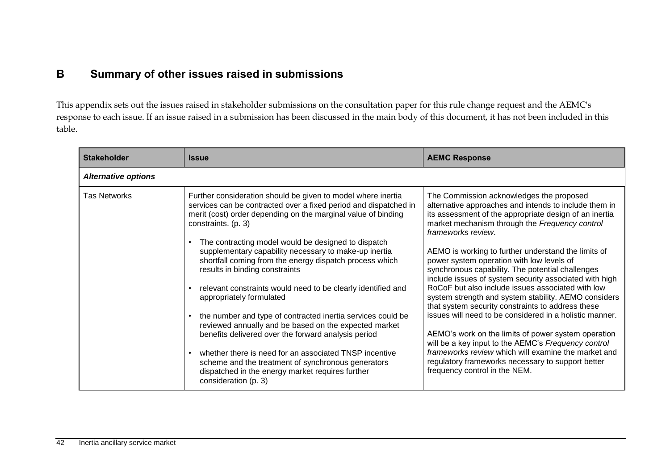# **B Summary of other issues raised in submissions**

This appendix sets out the issues raised in stakeholder submissions on the consultation paper for this rule change request and the AEMC's response to each issue. If an issue raised in a submission has been discussed in the main body of this document, it has not been included in this table.

<span id="page-49-0"></span>

| <b>Stakeholder</b>         | <b>Issue</b>                                                                                                                                                                                                             | <b>AEMC Response</b>                                                                                                                                                                                                                |
|----------------------------|--------------------------------------------------------------------------------------------------------------------------------------------------------------------------------------------------------------------------|-------------------------------------------------------------------------------------------------------------------------------------------------------------------------------------------------------------------------------------|
| <b>Alternative options</b> |                                                                                                                                                                                                                          |                                                                                                                                                                                                                                     |
| <b>Tas Networks</b>        | Further consideration should be given to model where inertia<br>services can be contracted over a fixed period and dispatched in<br>merit (cost) order depending on the marginal value of binding<br>constraints. (p. 3) | The Commission acknowledges the proposed<br>alternative approaches and intends to include them in<br>its assessment of the appropriate design of an inertia<br>market mechanism through the Frequency control<br>frameworks review. |
|                            | The contracting model would be designed to dispatch<br>supplementary capability necessary to make-up inertia<br>shortfall coming from the energy dispatch process which<br>results in binding constraints                | AEMO is working to further understand the limits of<br>power system operation with low levels of<br>synchronous capability. The potential challenges<br>include issues of system security associated with high                      |
|                            | relevant constraints would need to be clearly identified and<br>appropriately formulated                                                                                                                                 | RoCoF but also include issues associated with low<br>system strength and system stability. AEMO considers<br>that system security constraints to address these                                                                      |
|                            | the number and type of contracted inertia services could be<br>reviewed annually and be based on the expected market<br>benefits delivered over the forward analysis period                                              | issues will need to be considered in a holistic manner.<br>AEMO's work on the limits of power system operation<br>will be a key input to the AEMC's Frequency control                                                               |
|                            | whether there is need for an associated TNSP incentive<br>scheme and the treatment of synchronous generators<br>dispatched in the energy market requires further<br>consideration (p. 3)                                 | frameworks review which will examine the market and<br>regulatory frameworks necessary to support better<br>frequency control in the NEM.                                                                                           |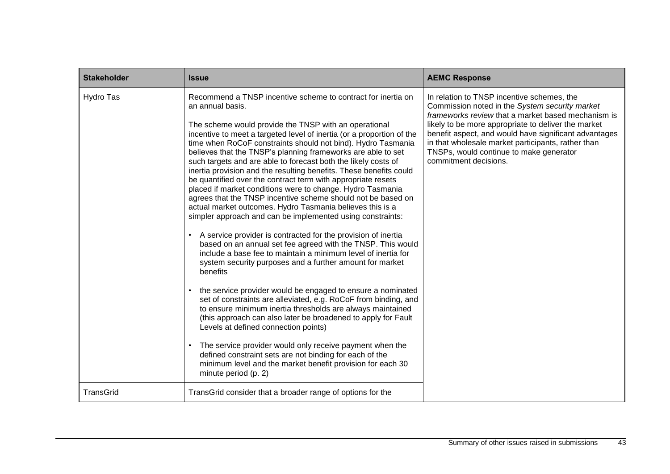| <b>Stakeholder</b> | <b>Issue</b>                                                                                                                                                                                                                                                                                                                                                                                                                                                                                                                                                                                                                                                                                                                                                                                                                                                                                                                                                                                                                                                                                                                                                                                                                                                                                                                                                                                                                                                                                                                                                                                                       | <b>AEMC Response</b>                                                                                                                                                                                                                                                                                                                                                                         |
|--------------------|--------------------------------------------------------------------------------------------------------------------------------------------------------------------------------------------------------------------------------------------------------------------------------------------------------------------------------------------------------------------------------------------------------------------------------------------------------------------------------------------------------------------------------------------------------------------------------------------------------------------------------------------------------------------------------------------------------------------------------------------------------------------------------------------------------------------------------------------------------------------------------------------------------------------------------------------------------------------------------------------------------------------------------------------------------------------------------------------------------------------------------------------------------------------------------------------------------------------------------------------------------------------------------------------------------------------------------------------------------------------------------------------------------------------------------------------------------------------------------------------------------------------------------------------------------------------------------------------------------------------|----------------------------------------------------------------------------------------------------------------------------------------------------------------------------------------------------------------------------------------------------------------------------------------------------------------------------------------------------------------------------------------------|
| Hydro Tas          | Recommend a TNSP incentive scheme to contract for inertia on<br>an annual basis.<br>The scheme would provide the TNSP with an operational<br>incentive to meet a targeted level of inertia (or a proportion of the<br>time when RoCoF constraints should not bind). Hydro Tasmania<br>believes that the TNSP's planning frameworks are able to set<br>such targets and are able to forecast both the likely costs of<br>inertia provision and the resulting benefits. These benefits could<br>be quantified over the contract term with appropriate resets<br>placed if market conditions were to change. Hydro Tasmania<br>agrees that the TNSP incentive scheme should not be based on<br>actual market outcomes. Hydro Tasmania believes this is a<br>simpler approach and can be implemented using constraints:<br>A service provider is contracted for the provision of inertia<br>based on an annual set fee agreed with the TNSP. This would<br>include a base fee to maintain a minimum level of inertia for<br>system security purposes and a further amount for market<br>benefits<br>the service provider would be engaged to ensure a nominated<br>set of constraints are alleviated, e.g. RoCoF from binding, and<br>to ensure minimum inertia thresholds are always maintained<br>(this approach can also later be broadened to apply for Fault<br>Levels at defined connection points)<br>The service provider would only receive payment when the<br>defined constraint sets are not binding for each of the<br>minimum level and the market benefit provision for each 30<br>minute period (p. 2) | In relation to TNSP incentive schemes, the<br>Commission noted in the System security market<br>frameworks review that a market based mechanism is<br>likely to be more appropriate to deliver the market<br>benefit aspect, and would have significant advantages<br>in that wholesale market participants, rather than<br>TNSPs, would continue to make generator<br>commitment decisions. |
| TransGrid          | TransGrid consider that a broader range of options for the                                                                                                                                                                                                                                                                                                                                                                                                                                                                                                                                                                                                                                                                                                                                                                                                                                                                                                                                                                                                                                                                                                                                                                                                                                                                                                                                                                                                                                                                                                                                                         |                                                                                                                                                                                                                                                                                                                                                                                              |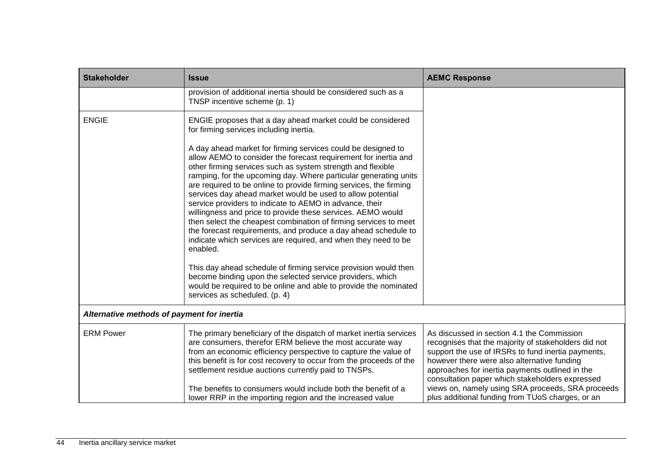| <b>Stakeholder</b>                         | <b>Issue</b>                                                                                                                                                                                                                                                                                                                                                                                                                                                                                                                                                                                                                                                                                                                                                                                                                                                                         | <b>AEMC Response</b>                                                                                                                                                                                                                                                                                                                                                                                                   |
|--------------------------------------------|--------------------------------------------------------------------------------------------------------------------------------------------------------------------------------------------------------------------------------------------------------------------------------------------------------------------------------------------------------------------------------------------------------------------------------------------------------------------------------------------------------------------------------------------------------------------------------------------------------------------------------------------------------------------------------------------------------------------------------------------------------------------------------------------------------------------------------------------------------------------------------------|------------------------------------------------------------------------------------------------------------------------------------------------------------------------------------------------------------------------------------------------------------------------------------------------------------------------------------------------------------------------------------------------------------------------|
|                                            | provision of additional inertia should be considered such as a<br>TNSP incentive scheme (p. 1)                                                                                                                                                                                                                                                                                                                                                                                                                                                                                                                                                                                                                                                                                                                                                                                       |                                                                                                                                                                                                                                                                                                                                                                                                                        |
| <b>ENGIE</b>                               | ENGIE proposes that a day ahead market could be considered<br>for firming services including inertia.                                                                                                                                                                                                                                                                                                                                                                                                                                                                                                                                                                                                                                                                                                                                                                                |                                                                                                                                                                                                                                                                                                                                                                                                                        |
|                                            | A day ahead market for firming services could be designed to<br>allow AEMO to consider the forecast requirement for inertia and<br>other firming services such as system strength and flexible<br>ramping, for the upcoming day. Where particular generating units<br>are required to be online to provide firming services, the firming<br>services day ahead market would be used to allow potential<br>service providers to indicate to AEMO in advance, their<br>willingness and price to provide these services. AEMO would<br>then select the cheapest combination of firming services to meet<br>the forecast requirements, and produce a day ahead schedule to<br>indicate which services are required, and when they need to be<br>enabled.<br>This day ahead schedule of firming service provision would then<br>become binding upon the selected service providers, which |                                                                                                                                                                                                                                                                                                                                                                                                                        |
|                                            | would be required to be online and able to provide the nominated<br>services as scheduled. (p. 4)                                                                                                                                                                                                                                                                                                                                                                                                                                                                                                                                                                                                                                                                                                                                                                                    |                                                                                                                                                                                                                                                                                                                                                                                                                        |
| Alternative methods of payment for inertia |                                                                                                                                                                                                                                                                                                                                                                                                                                                                                                                                                                                                                                                                                                                                                                                                                                                                                      |                                                                                                                                                                                                                                                                                                                                                                                                                        |
| <b>ERM Power</b>                           | The primary beneficiary of the dispatch of market inertia services<br>are consumers, therefor ERM believe the most accurate way<br>from an economic efficiency perspective to capture the value of<br>this benefit is for cost recovery to occur from the proceeds of the<br>settlement residue auctions currently paid to TNSPs.<br>The benefits to consumers would include both the benefit of a<br>lower RRP in the importing region and the increased value                                                                                                                                                                                                                                                                                                                                                                                                                      | As discussed in section 4.1 the Commission<br>recognises that the majority of stakeholders did not<br>support the use of IRSRs to fund inertia payments,<br>however there were also alternative funding<br>approaches for inertia payments outlined in the<br>consultation paper which stakeholders expressed<br>views on, namely using SRA proceeds, SRA proceeds<br>plus additional funding from TUoS charges, or an |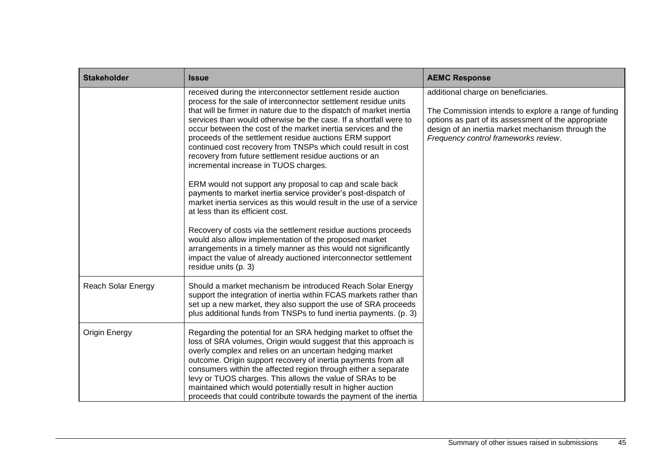| <b>Stakeholder</b>        | <b>Issue</b>                                                                                                                                                                                                                                                                                                                                                                                                                                                                                                                                                                | <b>AEMC Response</b>                                                                                                                                                                                                                             |
|---------------------------|-----------------------------------------------------------------------------------------------------------------------------------------------------------------------------------------------------------------------------------------------------------------------------------------------------------------------------------------------------------------------------------------------------------------------------------------------------------------------------------------------------------------------------------------------------------------------------|--------------------------------------------------------------------------------------------------------------------------------------------------------------------------------------------------------------------------------------------------|
|                           | received during the interconnector settlement reside auction<br>process for the sale of interconnector settlement residue units<br>that will be firmer in nature due to the dispatch of market inertia<br>services than would otherwise be the case. If a shortfall were to<br>occur between the cost of the market inertia services and the<br>proceeds of the settlement residue auctions ERM support<br>continued cost recovery from TNSPs which could result in cost<br>recovery from future settlement residue auctions or an<br>incremental increase in TUOS charges. | additional charge on beneficiaries.<br>The Commission intends to explore a range of funding<br>options as part of its assessment of the appropriate<br>design of an inertia market mechanism through the<br>Frequency control frameworks review. |
|                           | ERM would not support any proposal to cap and scale back<br>payments to market inertia service provider's post-dispatch of<br>market inertia services as this would result in the use of a service<br>at less than its efficient cost.                                                                                                                                                                                                                                                                                                                                      |                                                                                                                                                                                                                                                  |
|                           | Recovery of costs via the settlement residue auctions proceeds<br>would also allow implementation of the proposed market<br>arrangements in a timely manner as this would not significantly<br>impact the value of already auctioned interconnector settlement<br>residue units (p. 3)                                                                                                                                                                                                                                                                                      |                                                                                                                                                                                                                                                  |
| <b>Reach Solar Energy</b> | Should a market mechanism be introduced Reach Solar Energy<br>support the integration of inertia within FCAS markets rather than<br>set up a new market, they also support the use of SRA proceeds<br>plus additional funds from TNSPs to fund inertia payments. (p. 3)                                                                                                                                                                                                                                                                                                     |                                                                                                                                                                                                                                                  |
| <b>Origin Energy</b>      | Regarding the potential for an SRA hedging market to offset the<br>loss of SRA volumes, Origin would suggest that this approach is<br>overly complex and relies on an uncertain hedging market<br>outcome. Origin support recovery of inertia payments from all<br>consumers within the affected region through either a separate<br>levy or TUOS charges. This allows the value of SRAs to be<br>maintained which would potentially result in higher auction<br>proceeds that could contribute towards the payment of the inertia                                          |                                                                                                                                                                                                                                                  |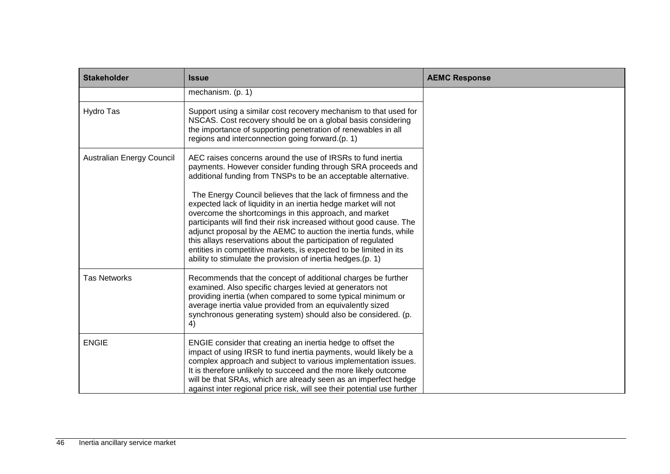| <b>Stakeholder</b>        | <b>Issue</b>                                                                                                                                                                                                                                                                                                                                                                                                                                                                                                                              | <b>AEMC Response</b> |
|---------------------------|-------------------------------------------------------------------------------------------------------------------------------------------------------------------------------------------------------------------------------------------------------------------------------------------------------------------------------------------------------------------------------------------------------------------------------------------------------------------------------------------------------------------------------------------|----------------------|
|                           | mechanism. (p. 1)                                                                                                                                                                                                                                                                                                                                                                                                                                                                                                                         |                      |
| Hydro Tas                 | Support using a similar cost recovery mechanism to that used for<br>NSCAS. Cost recovery should be on a global basis considering<br>the importance of supporting penetration of renewables in all<br>regions and interconnection going forward.(p. 1)                                                                                                                                                                                                                                                                                     |                      |
| Australian Energy Council | AEC raises concerns around the use of IRSRs to fund inertia<br>payments. However consider funding through SRA proceeds and<br>additional funding from TNSPs to be an acceptable alternative.                                                                                                                                                                                                                                                                                                                                              |                      |
|                           | The Energy Council believes that the lack of firmness and the<br>expected lack of liquidity in an inertia hedge market will not<br>overcome the shortcomings in this approach, and market<br>participants will find their risk increased without good cause. The<br>adjunct proposal by the AEMC to auction the inertia funds, while<br>this allays reservations about the participation of regulated<br>entities in competitive markets, is expected to be limited in its<br>ability to stimulate the provision of inertia hedges.(p. 1) |                      |
| <b>Tas Networks</b>       | Recommends that the concept of additional charges be further<br>examined. Also specific charges levied at generators not<br>providing inertia (when compared to some typical minimum or<br>average inertia value provided from an equivalently sized<br>synchronous generating system) should also be considered. (p.<br>4)                                                                                                                                                                                                               |                      |
| <b>ENGIE</b>              | ENGIE consider that creating an inertia hedge to offset the<br>impact of using IRSR to fund inertia payments, would likely be a<br>complex approach and subject to various implementation issues.<br>It is therefore unlikely to succeed and the more likely outcome<br>will be that SRAs, which are already seen as an imperfect hedge<br>against inter regional price risk, will see their potential use further                                                                                                                        |                      |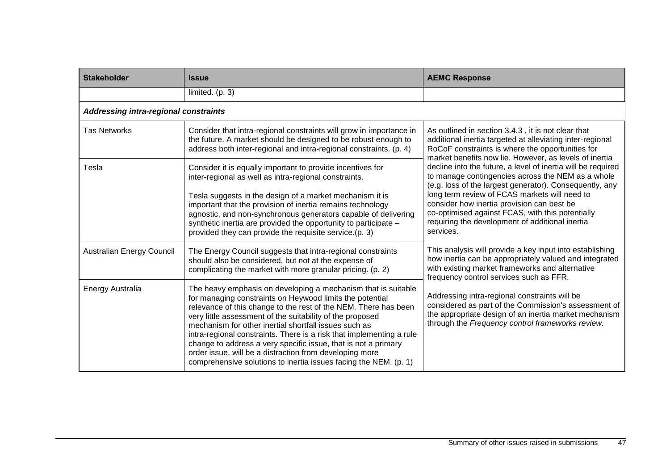| <b>Stakeholder</b>                    | <b>Issue</b>                                                                                                                                                                                                                                                                                                                                                                                                                                                                                                                                                                                | <b>AEMC Response</b>                                                                                                                                                                                                                                                                                                                                                                                                                                                                                                                                                                                                             |
|---------------------------------------|---------------------------------------------------------------------------------------------------------------------------------------------------------------------------------------------------------------------------------------------------------------------------------------------------------------------------------------------------------------------------------------------------------------------------------------------------------------------------------------------------------------------------------------------------------------------------------------------|----------------------------------------------------------------------------------------------------------------------------------------------------------------------------------------------------------------------------------------------------------------------------------------------------------------------------------------------------------------------------------------------------------------------------------------------------------------------------------------------------------------------------------------------------------------------------------------------------------------------------------|
|                                       | limited. (p. 3)                                                                                                                                                                                                                                                                                                                                                                                                                                                                                                                                                                             |                                                                                                                                                                                                                                                                                                                                                                                                                                                                                                                                                                                                                                  |
| Addressing intra-regional constraints |                                                                                                                                                                                                                                                                                                                                                                                                                                                                                                                                                                                             |                                                                                                                                                                                                                                                                                                                                                                                                                                                                                                                                                                                                                                  |
| <b>Tas Networks</b>                   | Consider that intra-regional constraints will grow in importance in<br>the future. A market should be designed to be robust enough to<br>address both inter-regional and intra-regional constraints. (p. 4)                                                                                                                                                                                                                                                                                                                                                                                 | As outlined in section 3.4.3, it is not clear that<br>additional inertia targeted at alleviating inter-regional<br>RoCoF constraints is where the opportunities for<br>market benefits now lie. However, as levels of inertia<br>decline into the future, a level of inertia will be required<br>to manage contingencies across the NEM as a whole<br>(e.g. loss of the largest generator). Consequently, any<br>long term review of FCAS markets will need to<br>consider how inertia provision can best be<br>co-optimised against FCAS, with this potentially<br>requiring the development of additional inertia<br>services. |
| Tesla                                 | Consider it is equally important to provide incentives for<br>inter-regional as well as intra-regional constraints.                                                                                                                                                                                                                                                                                                                                                                                                                                                                         |                                                                                                                                                                                                                                                                                                                                                                                                                                                                                                                                                                                                                                  |
|                                       | Tesla suggests in the design of a market mechanism it is<br>important that the provision of inertia remains technology<br>agnostic, and non-synchronous generators capable of delivering<br>synthetic inertia are provided the opportunity to participate -<br>provided they can provide the requisite service.(p. 3)                                                                                                                                                                                                                                                                       |                                                                                                                                                                                                                                                                                                                                                                                                                                                                                                                                                                                                                                  |
| <b>Australian Energy Council</b>      | The Energy Council suggests that intra-regional constraints<br>should also be considered, but not at the expense of<br>complicating the market with more granular pricing. (p. 2)                                                                                                                                                                                                                                                                                                                                                                                                           | This analysis will provide a key input into establishing<br>how inertia can be appropriately valued and integrated<br>with existing market frameworks and alternative<br>frequency control services such as FFR.                                                                                                                                                                                                                                                                                                                                                                                                                 |
| Energy Australia                      | The heavy emphasis on developing a mechanism that is suitable<br>for managing constraints on Heywood limits the potential<br>relevance of this change to the rest of the NEM. There has been<br>very little assessment of the suitability of the proposed<br>mechanism for other inertial shortfall issues such as<br>intra-regional constraints. There is a risk that implementing a rule<br>change to address a very specific issue, that is not a primary<br>order issue, will be a distraction from developing more<br>comprehensive solutions to inertia issues facing the NEM. (p. 1) | Addressing intra-regional constraints will be<br>considered as part of the Commission's assessment of<br>the appropriate design of an inertia market mechanism<br>through the Frequency control frameworks review.                                                                                                                                                                                                                                                                                                                                                                                                               |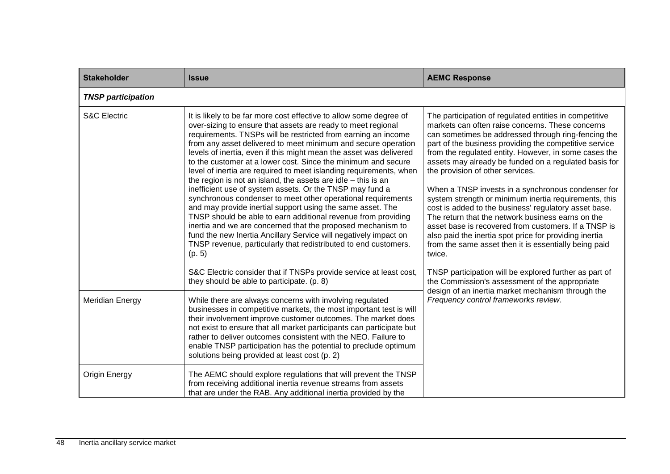| <b>Stakeholder</b>        | <b>Issue</b>                                                                                                                                                                                                                                                                                                                                                                                                                                                                                                                                                                                                                                                                                                                                                                                                                                                                                                                                                                                                                                                                                          | <b>AEMC Response</b>                                                                                                                                                                                                                                                                                                                                                                                                                                                                                                                                                                                                                                                                                                                                                                                |
|---------------------------|-------------------------------------------------------------------------------------------------------------------------------------------------------------------------------------------------------------------------------------------------------------------------------------------------------------------------------------------------------------------------------------------------------------------------------------------------------------------------------------------------------------------------------------------------------------------------------------------------------------------------------------------------------------------------------------------------------------------------------------------------------------------------------------------------------------------------------------------------------------------------------------------------------------------------------------------------------------------------------------------------------------------------------------------------------------------------------------------------------|-----------------------------------------------------------------------------------------------------------------------------------------------------------------------------------------------------------------------------------------------------------------------------------------------------------------------------------------------------------------------------------------------------------------------------------------------------------------------------------------------------------------------------------------------------------------------------------------------------------------------------------------------------------------------------------------------------------------------------------------------------------------------------------------------------|
| <b>TNSP participation</b> |                                                                                                                                                                                                                                                                                                                                                                                                                                                                                                                                                                                                                                                                                                                                                                                                                                                                                                                                                                                                                                                                                                       |                                                                                                                                                                                                                                                                                                                                                                                                                                                                                                                                                                                                                                                                                                                                                                                                     |
| <b>S&amp;C Electric</b>   | It is likely to be far more cost effective to allow some degree of<br>over-sizing to ensure that assets are ready to meet regional<br>requirements. TNSPs will be restricted from earning an income<br>from any asset delivered to meet minimum and secure operation<br>levels of inertia, even if this might mean the asset was delivered<br>to the customer at a lower cost. Since the minimum and secure<br>level of inertia are required to meet islanding requirements, when<br>the region is not an island, the assets are idle $-$ this is an<br>inefficient use of system assets. Or the TNSP may fund a<br>synchronous condenser to meet other operational requirements<br>and may provide inertial support using the same asset. The<br>TNSP should be able to earn additional revenue from providing<br>inertia and we are concerned that the proposed mechanism to<br>fund the new Inertia Ancillary Service will negatively impact on<br>TNSP revenue, particularly that redistributed to end customers.<br>(p. 5)<br>S&C Electric consider that if TNSPs provide service at least cost, | The participation of regulated entities in competitive<br>markets can often raise concerns. These concerns<br>can sometimes be addressed through ring-fencing the<br>part of the business providing the competitive service<br>from the regulated entity. However, in some cases the<br>assets may already be funded on a regulated basis for<br>the provision of other services.<br>When a TNSP invests in a synchronous condenser for<br>system strength or minimum inertia requirements, this<br>cost is added to the business' regulatory asset base.<br>The return that the network business earns on the<br>asset base is recovered from customers. If a TNSP is<br>also paid the inertia spot price for providing inertia<br>from the same asset then it is essentially being paid<br>twice. |
|                           | they should be able to participate. (p. 8)                                                                                                                                                                                                                                                                                                                                                                                                                                                                                                                                                                                                                                                                                                                                                                                                                                                                                                                                                                                                                                                            | TNSP participation will be explored further as part of<br>the Commission's assessment of the appropriate<br>design of an inertia market mechanism through the                                                                                                                                                                                                                                                                                                                                                                                                                                                                                                                                                                                                                                       |
| <b>Meridian Energy</b>    | While there are always concerns with involving regulated<br>businesses in competitive markets, the most important test is will<br>their involvement improve customer outcomes. The market does<br>not exist to ensure that all market participants can participate but<br>rather to deliver outcomes consistent with the NEO. Failure to<br>enable TNSP participation has the potential to preclude optimum<br>solutions being provided at least cost (p. 2)                                                                                                                                                                                                                                                                                                                                                                                                                                                                                                                                                                                                                                          | Frequency control frameworks review.                                                                                                                                                                                                                                                                                                                                                                                                                                                                                                                                                                                                                                                                                                                                                                |
| <b>Origin Energy</b>      | The AEMC should explore regulations that will prevent the TNSP<br>from receiving additional inertia revenue streams from assets<br>that are under the RAB. Any additional inertia provided by the                                                                                                                                                                                                                                                                                                                                                                                                                                                                                                                                                                                                                                                                                                                                                                                                                                                                                                     |                                                                                                                                                                                                                                                                                                                                                                                                                                                                                                                                                                                                                                                                                                                                                                                                     |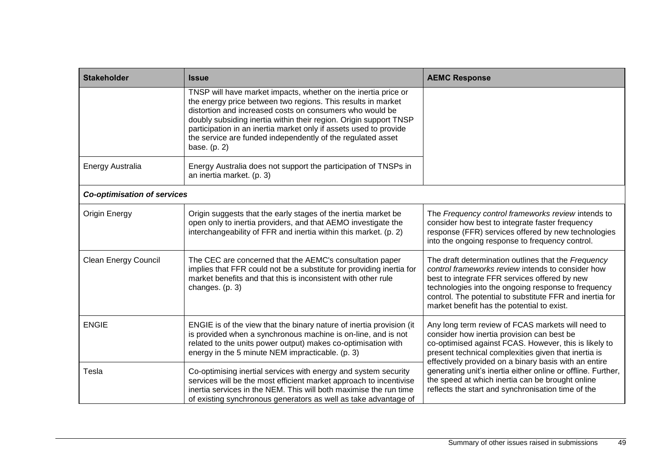| <b>Stakeholder</b>                 | <b>Issue</b>                                                                                                                                                                                                                                                                                                                                                                                                        | <b>AEMC Response</b>                                                                                                                                                                                                                                                                                                                                                                                                                                |  |
|------------------------------------|---------------------------------------------------------------------------------------------------------------------------------------------------------------------------------------------------------------------------------------------------------------------------------------------------------------------------------------------------------------------------------------------------------------------|-----------------------------------------------------------------------------------------------------------------------------------------------------------------------------------------------------------------------------------------------------------------------------------------------------------------------------------------------------------------------------------------------------------------------------------------------------|--|
|                                    | TNSP will have market impacts, whether on the inertia price or<br>the energy price between two regions. This results in market<br>distortion and increased costs on consumers who would be<br>doubly subsiding inertia within their region. Origin support TNSP<br>participation in an inertia market only if assets used to provide<br>the service are funded independently of the regulated asset<br>base. (p. 2) |                                                                                                                                                                                                                                                                                                                                                                                                                                                     |  |
| <b>Energy Australia</b>            | Energy Australia does not support the participation of TNSPs in<br>an inertia market. (p. 3)                                                                                                                                                                                                                                                                                                                        |                                                                                                                                                                                                                                                                                                                                                                                                                                                     |  |
| <b>Co-optimisation of services</b> |                                                                                                                                                                                                                                                                                                                                                                                                                     |                                                                                                                                                                                                                                                                                                                                                                                                                                                     |  |
| <b>Origin Energy</b>               | Origin suggests that the early stages of the inertia market be<br>open only to inertia providers, and that AEMO investigate the<br>interchangeability of FFR and inertia within this market. (p. 2)                                                                                                                                                                                                                 | The Frequency control frameworks review intends to<br>consider how best to integrate faster frequency<br>response (FFR) services offered by new technologies<br>into the ongoing response to frequency control.                                                                                                                                                                                                                                     |  |
| <b>Clean Energy Council</b>        | The CEC are concerned that the AEMC's consultation paper<br>implies that FFR could not be a substitute for providing inertia for<br>market benefits and that this is inconsistent with other rule<br>changes. (p. 3)                                                                                                                                                                                                | The draft determination outlines that the Frequency<br>control frameworks review intends to consider how<br>best to integrate FFR services offered by new<br>technologies into the ongoing response to frequency<br>control. The potential to substitute FFR and inertia for<br>market benefit has the potential to exist.                                                                                                                          |  |
| <b>ENGIE</b>                       | ENGIE is of the view that the binary nature of inertia provision (it<br>is provided when a synchronous machine is on-line, and is not<br>related to the units power output) makes co-optimisation with<br>energy in the 5 minute NEM impracticable. (p. 3)                                                                                                                                                          | Any long term review of FCAS markets will need to<br>consider how inertia provision can best be<br>co-optimised against FCAS. However, this is likely to<br>present technical complexities given that inertia is<br>effectively provided on a binary basis with an entire<br>generating unit's inertia either online or offline. Further,<br>the speed at which inertia can be brought online<br>reflects the start and synchronisation time of the |  |
| Tesla                              | Co-optimising inertial services with energy and system security<br>services will be the most efficient market approach to incentivise<br>inertia services in the NEM. This will both maximise the run time<br>of existing synchronous generators as well as take advantage of                                                                                                                                       |                                                                                                                                                                                                                                                                                                                                                                                                                                                     |  |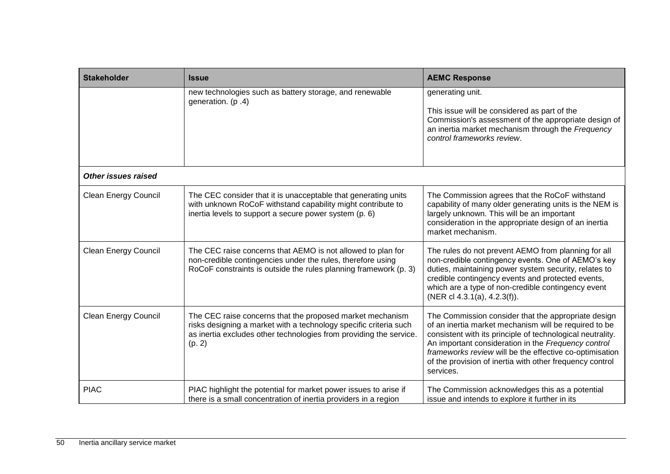| <b>Stakeholder</b>          | <b>Issue</b>                                                                                                                                                                                                   | <b>AEMC Response</b>                                                                                                                                                                                                                                                                                                                                                  |
|-----------------------------|----------------------------------------------------------------------------------------------------------------------------------------------------------------------------------------------------------------|-----------------------------------------------------------------------------------------------------------------------------------------------------------------------------------------------------------------------------------------------------------------------------------------------------------------------------------------------------------------------|
|                             | new technologies such as battery storage, and renewable<br>generation. (p.4)                                                                                                                                   | generating unit.<br>This issue will be considered as part of the<br>Commission's assessment of the appropriate design of<br>an inertia market mechanism through the Frequency<br>control frameworks review.                                                                                                                                                           |
| <b>Other issues raised</b>  |                                                                                                                                                                                                                |                                                                                                                                                                                                                                                                                                                                                                       |
| <b>Clean Energy Council</b> | The CEC consider that it is unacceptable that generating units<br>with unknown RoCoF withstand capability might contribute to<br>inertia levels to support a secure power system (p. 6)                        | The Commission agrees that the RoCoF withstand<br>capability of many older generating units is the NEM is<br>largely unknown. This will be an important<br>consideration in the appropriate design of an inertia<br>market mechanism.                                                                                                                                 |
| <b>Clean Energy Council</b> | The CEC raise concerns that AEMO is not allowed to plan for<br>non-credible contingencies under the rules, therefore using<br>RoCoF constraints is outside the rules planning framework (p. 3)                 | The rules do not prevent AEMO from planning for all<br>non-credible contingency events. One of AEMO's key<br>duties, maintaining power system security, relates to<br>credible contingency events and protected events,<br>which are a type of non-credible contingency event<br>(NER cl $4.3.1(a)$ , $4.2.3(f)$ ).                                                   |
| <b>Clean Energy Council</b> | The CEC raise concerns that the proposed market mechanism<br>risks designing a market with a technology specific criteria such<br>as inertia excludes other technologies from providing the service.<br>(p. 2) | The Commission consider that the appropriate design<br>of an inertia market mechanism will be required to be<br>consistent with its principle of technological neutrality.<br>An important consideration in the Frequency control<br>frameworks review will be the effective co-optimisation<br>of the provision of inertia with other frequency control<br>services. |
| <b>PIAC</b>                 | PIAC highlight the potential for market power issues to arise if<br>there is a small concentration of inertia providers in a region                                                                            | The Commission acknowledges this as a potential<br>issue and intends to explore it further in its                                                                                                                                                                                                                                                                     |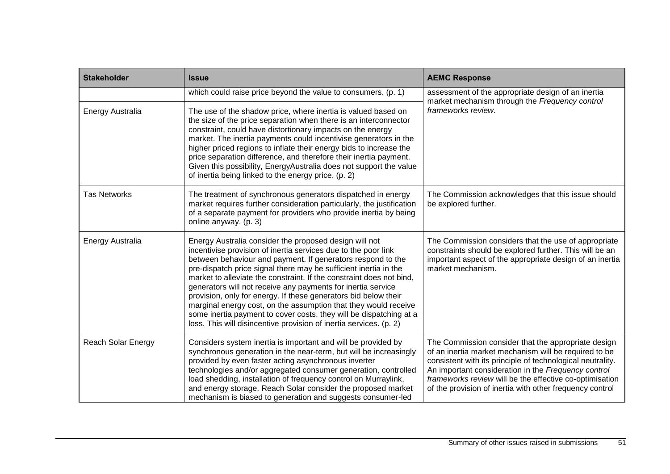| <b>Stakeholder</b>        | <b>Issue</b>                                                                                                                                                                                                                                                                                                                                                                                                                                                                                                                                                                                                                                                                          | <b>AEMC Response</b>                                                                                                                                                                                                                                                                                                                                     |
|---------------------------|---------------------------------------------------------------------------------------------------------------------------------------------------------------------------------------------------------------------------------------------------------------------------------------------------------------------------------------------------------------------------------------------------------------------------------------------------------------------------------------------------------------------------------------------------------------------------------------------------------------------------------------------------------------------------------------|----------------------------------------------------------------------------------------------------------------------------------------------------------------------------------------------------------------------------------------------------------------------------------------------------------------------------------------------------------|
|                           | which could raise price beyond the value to consumers. (p. 1)                                                                                                                                                                                                                                                                                                                                                                                                                                                                                                                                                                                                                         | assessment of the appropriate design of an inertia<br>market mechanism through the Frequency control<br>frameworks review.                                                                                                                                                                                                                               |
| Energy Australia          | The use of the shadow price, where inertia is valued based on<br>the size of the price separation when there is an interconnector<br>constraint, could have distortionary impacts on the energy<br>market. The inertia payments could incentivise generators in the<br>higher priced regions to inflate their energy bids to increase the<br>price separation difference, and therefore their inertia payment.<br>Given this possibility, EnergyAustralia does not support the value<br>of inertia being linked to the energy price. (p. 2)                                                                                                                                           |                                                                                                                                                                                                                                                                                                                                                          |
| <b>Tas Networks</b>       | The treatment of synchronous generators dispatched in energy<br>market requires further consideration particularly, the justification<br>of a separate payment for providers who provide inertia by being<br>online anyway. (p. 3)                                                                                                                                                                                                                                                                                                                                                                                                                                                    | The Commission acknowledges that this issue should<br>be explored further.                                                                                                                                                                                                                                                                               |
| <b>Energy Australia</b>   | Energy Australia consider the proposed design will not<br>incentivise provision of inertia services due to the poor link<br>between behaviour and payment. If generators respond to the<br>pre-dispatch price signal there may be sufficient inertia in the<br>market to alleviate the constraint. If the constraint does not bind,<br>generators will not receive any payments for inertia service<br>provision, only for energy. If these generators bid below their<br>marginal energy cost, on the assumption that they would receive<br>some inertia payment to cover costs, they will be dispatching at a<br>loss. This will disincentive provision of inertia services. (p. 2) | The Commission considers that the use of appropriate<br>constraints should be explored further. This will be an<br>important aspect of the appropriate design of an inertia<br>market mechanism.                                                                                                                                                         |
| <b>Reach Solar Energy</b> | Considers system inertia is important and will be provided by<br>synchronous generation in the near-term, but will be increasingly<br>provided by even faster acting asynchronous inverter<br>technologies and/or aggregated consumer generation, controlled<br>load shedding, installation of frequency control on Murraylink,<br>and energy storage. Reach Solar consider the proposed market<br>mechanism is biased to generation and suggests consumer-led                                                                                                                                                                                                                        | The Commission consider that the appropriate design<br>of an inertia market mechanism will be required to be<br>consistent with its principle of technological neutrality.<br>An important consideration in the Frequency control<br>frameworks review will be the effective co-optimisation<br>of the provision of inertia with other frequency control |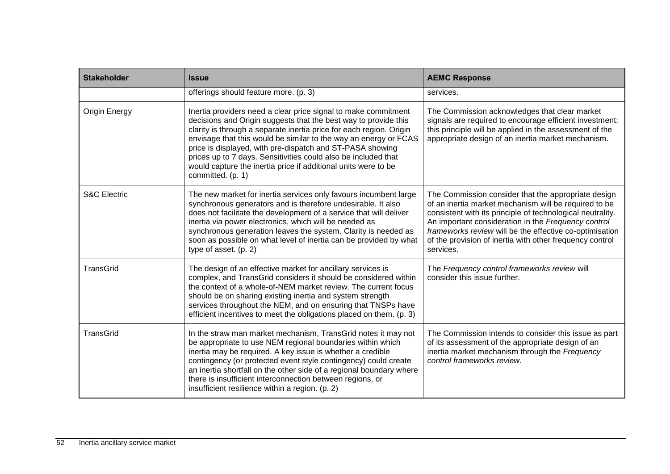| <b>Stakeholder</b>      | <b>Issue</b>                                                                                                                                                                                                                                                                                                                                                                                                                                                                                       | <b>AEMC Response</b>                                                                                                                                                                                                                                                                                                                                                  |
|-------------------------|----------------------------------------------------------------------------------------------------------------------------------------------------------------------------------------------------------------------------------------------------------------------------------------------------------------------------------------------------------------------------------------------------------------------------------------------------------------------------------------------------|-----------------------------------------------------------------------------------------------------------------------------------------------------------------------------------------------------------------------------------------------------------------------------------------------------------------------------------------------------------------------|
|                         | offerings should feature more. (p. 3)                                                                                                                                                                                                                                                                                                                                                                                                                                                              | services.                                                                                                                                                                                                                                                                                                                                                             |
| <b>Origin Energy</b>    | Inertia providers need a clear price signal to make commitment<br>decisions and Origin suggests that the best way to provide this<br>clarity is through a separate inertia price for each region. Origin<br>envisage that this would be similar to the way an energy or FCAS<br>price is displayed, with pre-dispatch and ST-PASA showing<br>prices up to 7 days. Sensitivities could also be included that<br>would capture the inertia price if additional units were to be<br>committed. (p. 1) | The Commission acknowledges that clear market<br>signals are required to encourage efficient investment;<br>this principle will be applied in the assessment of the<br>appropriate design of an inertia market mechanism.                                                                                                                                             |
| <b>S&amp;C Electric</b> | The new market for inertia services only favours incumbent large<br>synchronous generators and is therefore undesirable. It also<br>does not facilitate the development of a service that will deliver<br>inertia via power electronics, which will be needed as<br>synchronous generation leaves the system. Clarity is needed as<br>soon as possible on what level of inertia can be provided by what<br>type of asset. (p. 2)                                                                   | The Commission consider that the appropriate design<br>of an inertia market mechanism will be required to be<br>consistent with its principle of technological neutrality.<br>An important consideration in the Frequency control<br>frameworks review will be the effective co-optimisation<br>of the provision of inertia with other frequency control<br>services. |
| <b>TransGrid</b>        | The design of an effective market for ancillary services is<br>complex, and TransGrid considers it should be considered within<br>the context of a whole-of-NEM market review. The current focus<br>should be on sharing existing inertia and system strength<br>services throughout the NEM, and on ensuring that TNSPs have<br>efficient incentives to meet the obligations placed on them. (p. 3)                                                                                               | The Frequency control frameworks review will<br>consider this issue further.                                                                                                                                                                                                                                                                                          |
| <b>TransGrid</b>        | In the straw man market mechanism, TransGrid notes it may not<br>be appropriate to use NEM regional boundaries within which<br>inertia may be required. A key issue is whether a credible<br>contingency (or protected event style contingency) could create<br>an inertia shortfall on the other side of a regional boundary where<br>there is insufficient interconnection between regions, or<br>insufficient resilience within a region. (p. 2)                                                | The Commission intends to consider this issue as part<br>of its assessment of the appropriate design of an<br>inertia market mechanism through the Frequency<br>control frameworks review.                                                                                                                                                                            |